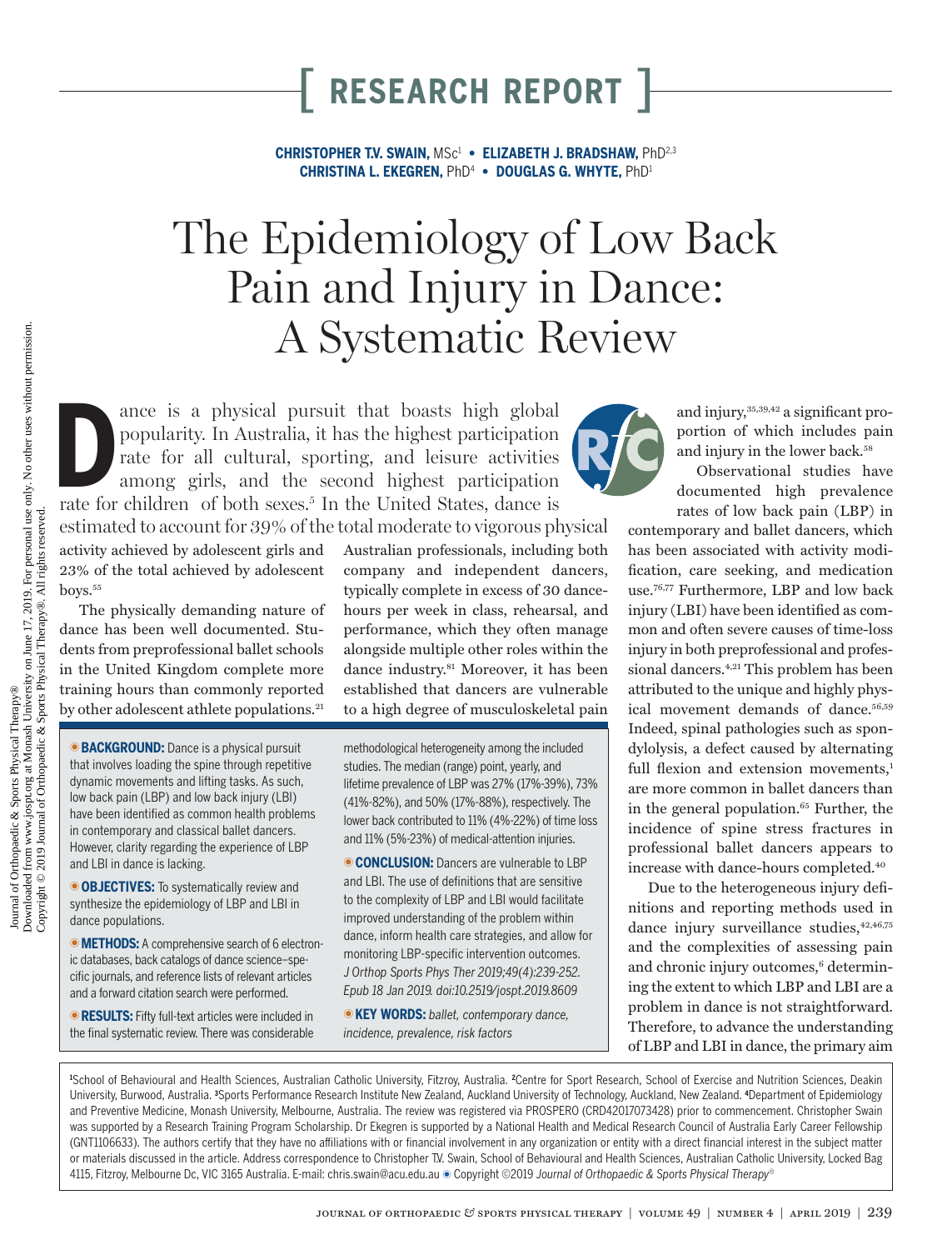**CHRISTOPHER T.V. SWAIN,** MSc1 **• ELIZABETH J. BRADSHAW,** PhD2,3 **CHRISTINA L. EKEGREN,** PhD4 **• DOUGLAS G. WHYTE,** PhD1

# The Epidemiology of Low Back Pain and Injury in Dance: A Systematic Review

ance is a physical pursuit that boasts high global popularity. In Australia, it has the highest participation rate for all cultural, sporting, and leisure activities among girls, and the second highest participation rate f ance is a physical pursuit that boasts high global popularity. In Australia, it has the highest participation rate for all cultural, sporting, and leisure activities among girls, and the second highest participation

activity achieved by adolescent girls and 23% of the total achieved by adolescent boys.<sup>55</sup>

The physically demanding nature of dance has been well documented. Students from preprofessional ballet schools in the United Kingdom complete more training hours than commonly reported by other adolescent athlete populations.<sup>21</sup>

**BACKGROUND:** Dance is a physical pursuit that involves loading the spine through repetitive dynamic movements and lifting tasks. As such, low back pain (LBP) and low back injury (LBI) have been identified as common health problems in contemporary and classical ballet dancers. However, clarity regarding the experience of LBP and LBI in dance is lacking.

**OBJECTIVES:** To systematically review and synthesize the epidemiology of LBP and LBI in dance populations.

**METHODS:** A comprehensive search of 6 electronic databases, back catalogs of dance science–specific journals, and reference lists of relevant articles and a forward citation search were performed.

**EXULTS:** Fifty full-text articles were included in the final systematic review. There was considerable

estimated to account for 39% of the total moderate to vigorous physical Australian professionals, including both company and independent dancers, typically complete in excess of 30 dancehours per week in class, rehearsal, and performance, which they often manage alongside multiple other roles within the dance industry.<sup>81</sup> Moreover, it has been established that dancers are vulnerable to a high degree of musculoskeletal pain

> methodological heterogeneity among the included studies. The median (range) point, yearly, and lifetime prevalence of LBP was 27% (17%-39%), 73% (41%-82%), and 50% (17%-88%), respectively. The lower back contributed to 11% (4%-22%) of time loss and 11% (5%-23%) of medical-attention injuries.

**CONCLUSION:** Dancers are vulnerable to LBP and LBI. The use of definitions that are sensitive to the complexity of LBP and LBI would facilitate improved understanding of the problem within dance, inform health care strategies, and allow for monitoring LBP-specific intervention outcomes. *J Orthop Sports Phys Ther 2019;49(4):239-252. Epub 18 Jan 2019. doi:10.2519/jospt.2019.8609*

U**KEY WORDS:** *ballet, contemporary dance, incidence, prevalence, risk factors*

and injury,35,39,42 a significant proportion of which includes pain and injury in the lower back.<sup>58</sup>

Observational studies have documented high prevalence rates of low back pain (LBP) in

contemporary and ballet dancers, which has been associated with activity modification, care seeking, and medication use.76,77 Furthermore, LBP and low back injury (LBI) have been identified as common and often severe causes of time-loss injury in both preprofessional and professional dancers.<sup>4,21</sup> This problem has been attributed to the unique and highly physical movement demands of dance.<sup>56,59</sup> Indeed, spinal pathologies such as spondylolysis, a defect caused by alternating full flexion and extension movements.<sup>1</sup> are more common in ballet dancers than in the general population.<sup>65</sup> Further, the incidence of spine stress fractures in professional ballet dancers appears to increase with dance-hours completed.40

Due to the heterogeneous injury definitions and reporting methods used in dance injury surveillance studies,  $42,46,75$ and the complexities of assessing pain and chronic injury outcomes,<sup>6</sup> determining the extent to which LBP and LBI are a problem in dance is not straightforward. Therefore, to advance the understanding of LBP and LBI in dance, the primary aim

<sup>1</sup>School of Behavioural and Health Sciences, Australian Catholic University, Fitzroy, Australia. <sup>2</sup>Centre for Sport Research, School of Exercise and Nutrition Sciences, Deakin University, Burwood, Australia. **<sup>3</sup>** Sports Performance Research Institute New Zealand, Auckland University of Technology, Auckland, New Zealand. **<sup>4</sup>** Department of Epidemiology and Preventive Medicine, Monash University, Melbourne, Australia. The review was registered via PROSPERO (CRD42017073428) prior to commencement. Christopher Swain was supported by a Research Training Program Scholarship. Dr Ekegren is supported by a National Health and Medical Research Council of Australia Early Career Fellowship (GNT1106633). The authors certify that they have no affiliations with or financial involvement in any organization or entity with a direct financial interest in the subject matter or materials discussed in the article. Address correspondence to Christopher T.V. Swain, School of Behavioural and Health Sciences, Australian Catholic University, Locked Bag 4115, Fitzroy, Melbourne Dc, VIC 3165 Australia. E-mail: [chris.swain@acu.edu.au](mailto:chris.swain@acu.edu.au) ● Copyright ©2019 *Journal of Orthopaedic & Sports Physical Therapy<sup>®</sup>*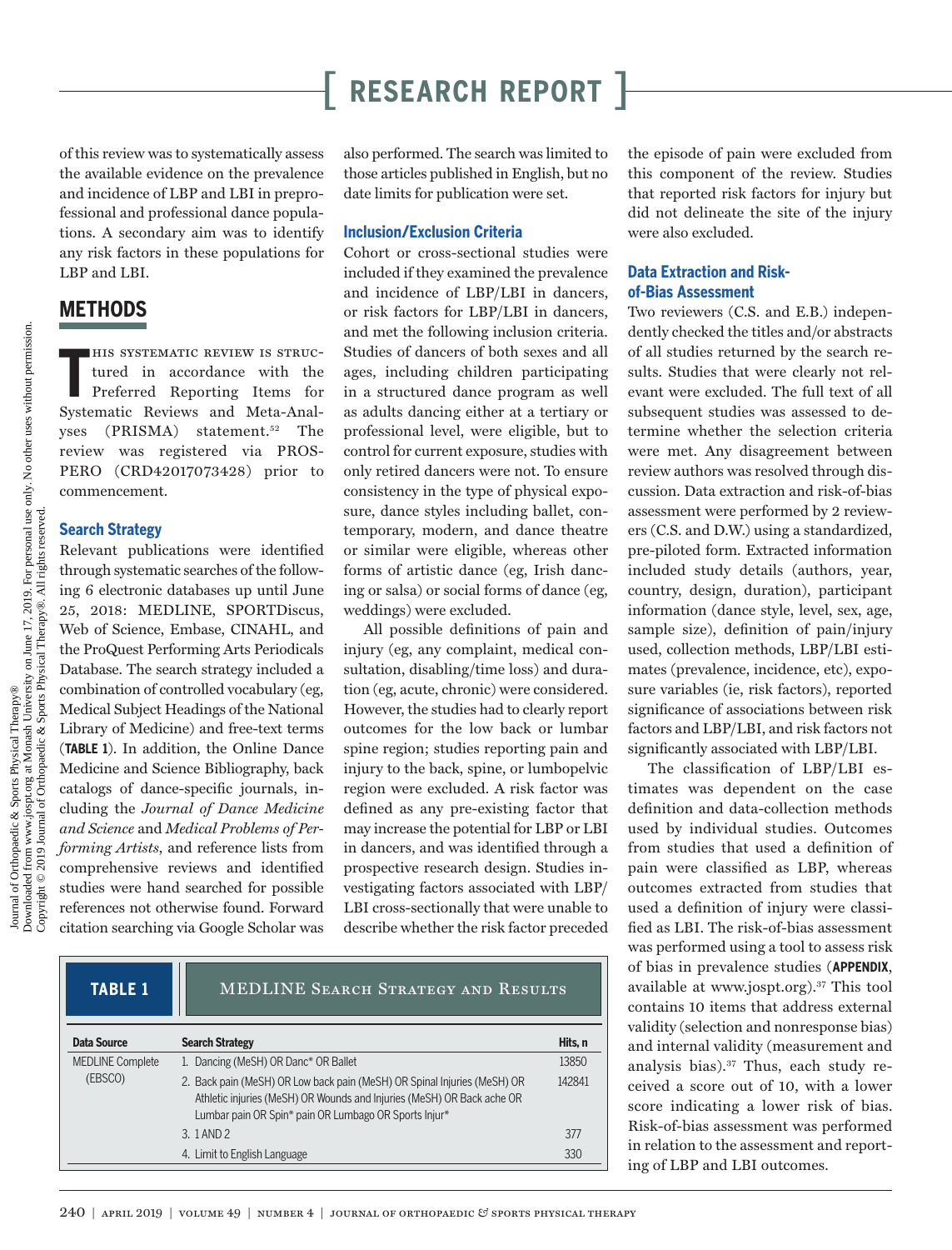of this review was to systematically assess the available evidence on the prevalence and incidence of LBP and LBI in preprofessional and professional dance populations. A secondary aim was to identify any risk factors in these populations for LBP and LBI.

### **METHODS**

**T** his systematic review is structured in accordance with the Preferred Reporting Items for Systematic Reviews and Meta-Analyses (PRISMA) statement.<sup>52</sup> The review was registered via PROS-PERO (CRD42017073428) prior to commencement.

#### **Search Strategy**

Relevant publications were identified through systematic searches of the following 6 electronic databases up until June 25, 2018: MEDLINE, SPORTDiscus, Web of Science, Embase, CINAHL, and the ProQuest Performing Arts Periodicals Database. The search strategy included a combination of controlled vocabulary (eg, Medical Subject Headings of the National Library of Medicine) and free-text terms (**TABLE 1**). In addition, the Online Dance Medicine and Science Bibliography, back catalogs of dance-specific journals, including the *Journal of Dance Medicine and Science* and *Medical Problems of Performing Artists*, and reference lists from comprehensive reviews and identified studies were hand searched for possible references not otherwise found. Forward citation searching via Google Scholar was

also performed. The search was limited to those articles published in English, but no date limits for publication were set.

#### **Inclusion/Exclusion Criteria**

Cohort or cross-sectional studies were included if they examined the prevalence and incidence of LBP/LBI in dancers, or risk factors for LBP/LBI in dancers, and met the following inclusion criteria. Studies of dancers of both sexes and all ages, including children participating in a structured dance program as well as adults dancing either at a tertiary or professional level, were eligible, but to control for current exposure, studies with only retired dancers were not. To ensure consistency in the type of physical exposure, dance styles including ballet, contemporary, modern, and dance theatre or similar were eligible, whereas other forms of artistic dance (eg, Irish dancing or salsa) or social forms of dance (eg, weddings) were excluded.

All possible definitions of pain and injury (eg, any complaint, medical consultation, disabling/time loss) and duration (eg, acute, chronic) were considered. However, the studies had to clearly report outcomes for the low back or lumbar spine region; studies reporting pain and injury to the back, spine, or lumbopelvic region were excluded. A risk factor was defined as any pre-existing factor that may increase the potential for LBP or LBI in dancers, and was identified through a prospective research design. Studies investigating factors associated with LBP/ LBI cross-sectionally that were unable to describe whether the risk factor preceded

| <b>TABLE 1</b>          | MEDLINE SEARCH STRATEGY AND RESULTS                                                                                                                                                                         |        |
|-------------------------|-------------------------------------------------------------------------------------------------------------------------------------------------------------------------------------------------------------|--------|
| <b>Data Source</b>      | <b>Search Strategy</b>                                                                                                                                                                                      | Hits.n |
| <b>MEDLINE Complete</b> | 1. Dancing (MeSH) OR Danc* OR Ballet                                                                                                                                                                        | 13850  |
| (EBSCO)                 | 2. Back pain (MeSH) OR Low back pain (MeSH) OR Spinal Injuries (MeSH) OR<br>Athletic injuries (MeSH) OR Wounds and Injuries (MeSH) OR Back ache OR<br>Lumbar pain OR Spin* pain OR Lumbago OR Sports Injur* | 142841 |
|                         | 3. 1 AND 2                                                                                                                                                                                                  | 377    |
|                         | 4. Limit to English Language                                                                                                                                                                                | 330    |

the episode of pain were excluded from this component of the review. Studies that reported risk factors for injury but did not delineate the site of the injury were also excluded.

#### **Data Extraction and Riskof-Bias Assessment**

Two reviewers (C.S. and E.B.) independently checked the titles and/or abstracts of all studies returned by the search results. Studies that were clearly not relevant were excluded. The full text of all subsequent studies was assessed to determine whether the selection criteria were met. Any disagreement between review authors was resolved through discussion. Data extraction and risk-of-bias assessment were performed by 2 reviewers (C.S. and D.W.) using a standardized, pre-piloted form. Extracted information included study details (authors, year, country, design, duration), participant information (dance style, level, sex, age, sample size), definition of pain/injury used, collection methods, LBP/LBI estimates (prevalence, incidence, etc), exposure variables (ie, risk factors), reported significance of associations between risk factors and LBP/LBI, and risk factors not significantly associated with LBP/LBI.

The classification of LBP/LBI estimates was dependent on the case definition and data-collection methods used by individual studies. Outcomes from studies that used a definition of pain were classified as LBP, whereas outcomes extracted from studies that used a definition of injury were classified as LBI. The risk-of-bias assessment was performed using a tool to assess risk of bias in prevalence studies (**APPENDIX**, available at [www.jospt.org](http://www.jospt.org)).37 This tool contains 10 items that address external validity (selection and nonresponse bias) and internal validity (measurement and analysis bias).37 Thus, each study received a score out of 10, with a lower score indicating a lower risk of bias. Risk-of-bias assessment was performed in relation to the assessment and reporting of LBP and LBI outcomes.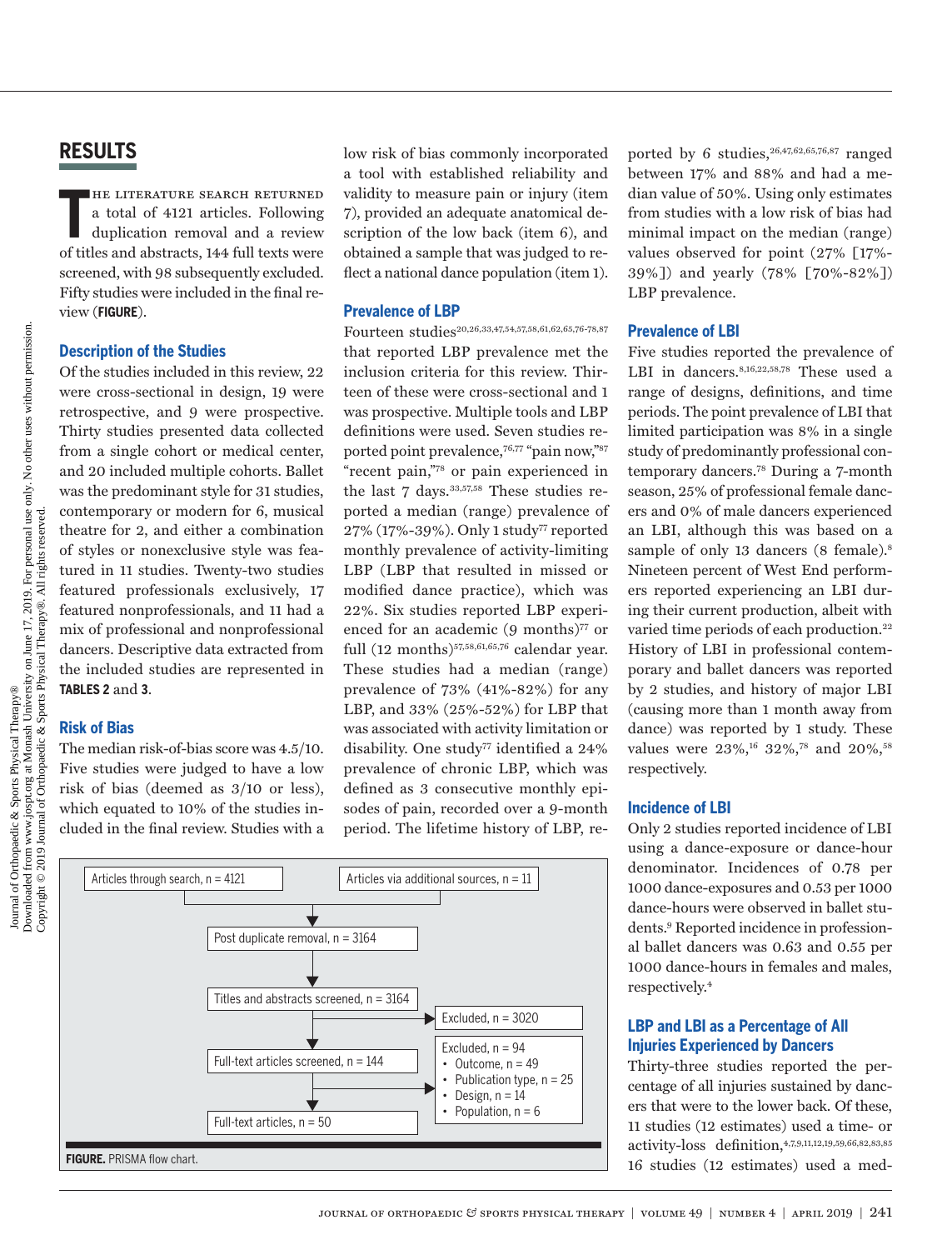**T** he literature search returned a total of 4121 articles. Following duplication removal and a review of titles and abstracts, 144 full texts were screened, with 98 subsequently excluded. Fifty studies were included in the final review (**FIGURE**).

#### **Description of the Studies**

Of the studies included in this review, 22 were cross-sectional in design, 19 were retrospective, and 9 were prospective. Thirty studies presented data collected from a single cohort or medical center, and 20 included multiple cohorts. Ballet was the predominant style for 31 studies, contemporary or modern for 6, musical theatre for 2, and either a combination of styles or nonexclusive style was featured in 11 studies. Twenty-two studies featured professionals exclusively, 17 featured nonprofessionals, and 11 had a mix of professional and nonprofessional dancers. Descriptive data extracted from the included studies are represented in **TABLES 2** and **3**.

#### **Risk of Bias**

The median risk-of-bias score was 4.5/10. Five studies were judged to have a low risk of bias (deemed as 3/10 or less), which equated to 10% of the studies included in the final review. Studies with a

low risk of bias commonly incorporated a tool with established reliability and validity to measure pain or injury (item 7), provided an adequate anatomical description of the low back (item 6), and obtained a sample that was judged to reflect a national dance population (item 1).

#### **Prevalence of LBP**

Fourteen studies<sup>20,26,33,47,54,57,58,61,62,65,76-78,87</sup> that reported LBP prevalence met the inclusion criteria for this review. Thirteen of these were cross-sectional and 1 was prospective. Multiple tools and LBP definitions were used. Seven studies reported point prevalence,76,77 "pain now,"87 "recent pain,"78 or pain experienced in the last 7 days.<sup>33,57,58</sup> These studies reported a median (range) prevalence of 27% (17%-39%). Only 1 study77 reported monthly prevalence of activity-limiting LBP (LBP that resulted in missed or modified dance practice), which was 22%. Six studies reported LBP experienced for an academic (9 months)<sup>77</sup> or full  $(12$  months)<sup>57,58,61,65,76</sup> calendar year. These studies had a median (range) prevalence of 73% (41%-82%) for any LBP, and 33% (25%-52%) for LBP that was associated with activity limitation or disability. One study<sup>77</sup> identified a 24% prevalence of chronic LBP, which was defined as 3 consecutive monthly episodes of pain, recorded over a 9-month period. The lifetime history of LBP, re-



ported by 6 studies,  $26,47,62,65,76,87$  ranged between 17% and 88% and had a median value of 50%. Using only estimates from studies with a low risk of bias had minimal impact on the median (range) values observed for point (27% [17%- 39%]) and yearly (78% [70%-82%]) LBP prevalence.

#### **Prevalence of LBI**

Five studies reported the prevalence of LBI in dancers.<sup>8,16,22,58,78</sup> These used a range of designs, definitions, and time periods. The point prevalence of LBI that limited participation was 8% in a single study of predominantly professional contemporary dancers.78 During a 7-month season, 25% of professional female dancers and 0% of male dancers experienced an LBI, although this was based on a sample of only 13 dancers (8 female).<sup>8</sup> Nineteen percent of West End performers reported experiencing an LBI during their current production, albeit with varied time periods of each production.<sup>22</sup> History of LBI in professional contemporary and ballet dancers was reported by 2 studies, and history of major LBI (causing more than 1 month away from dance) was reported by 1 study. These values were  $23\%,^{16}$   $32\%,^{78}$  and  $20\%,^{58}$ respectively.

#### **Incidence of LBI**

Only 2 studies reported incidence of LBI using a dance-exposure or dance-hour denominator. Incidences of 0.78 per 1000 dance-exposures and 0.53 per 1000 dance-hours were observed in ballet students.9 Reported incidence in professional ballet dancers was 0.63 and 0.55 per 1000 dance-hours in females and males, respectively.4

#### **LBP and LBI as a Percentage of All Injuries Experienced by Dancers**

Thirty-three studies reported the percentage of all injuries sustained by dancers that were to the lower back. Of these, 11 studies (12 estimates) used a time- or activity-loss definition,4,7,9,11,12,19,59,66,82,83,85 16 studies (12 estimates) used a med-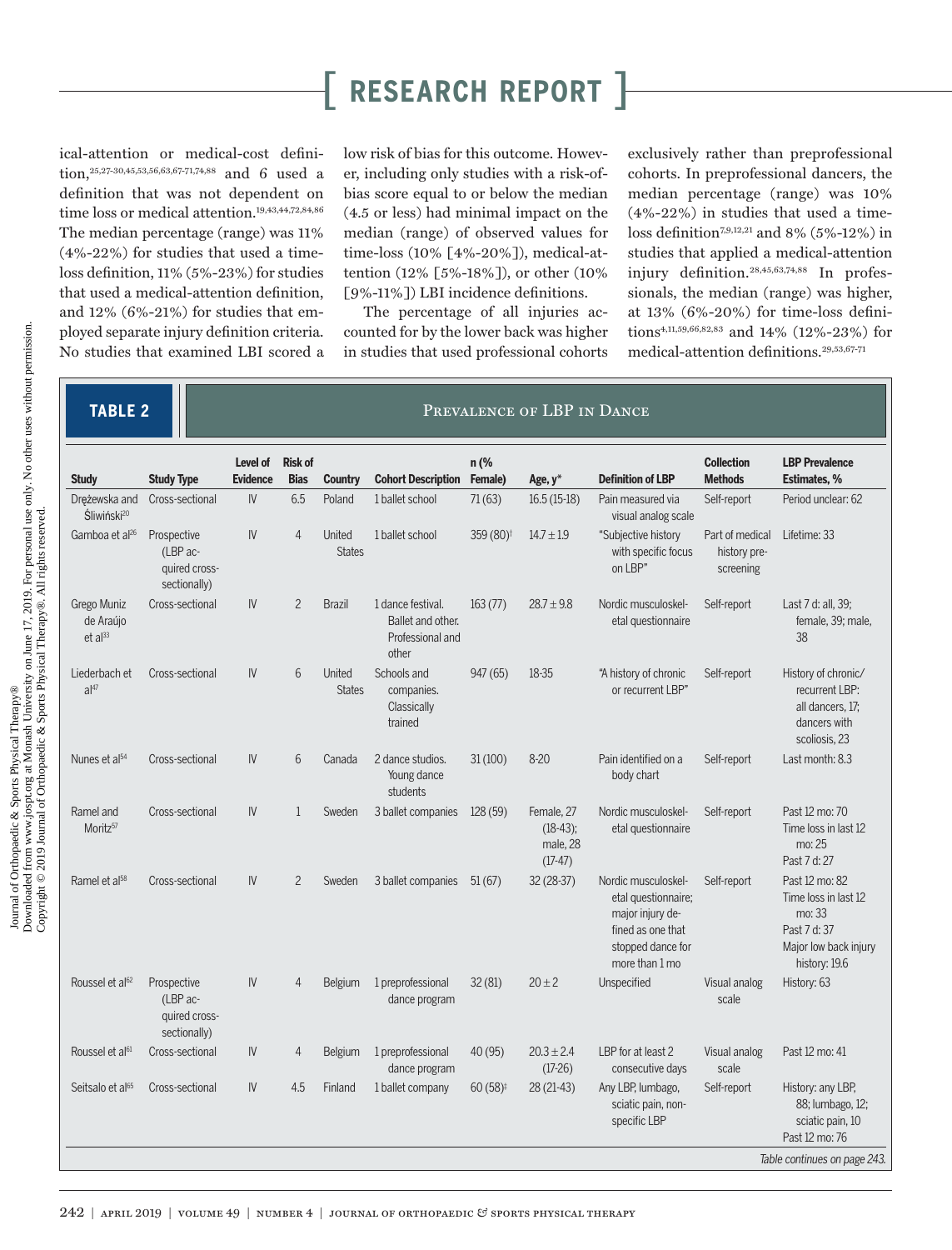ical-attention or medical-cost definition,25,27-30,45,53,56,63,67-71,74,88 and 6 used a definition that was not dependent on time loss or medical attention.<sup>19,43,44,72,84,86</sup> The median percentage (range) was 11% (4%-22%) for studies that used a timeloss definition, 11% (5%-23%) for studies that used a medical-attention definition, and  $12\%$  (6%-21%) for studies that employed separate injury definition criteria. No studies that examined LBI scored a low risk of bias for this outcome. However, including only studies with a risk-ofbias score equal to or below the median (4.5 or less) had minimal impact on the median (range) of observed values for time-loss (10% [4%-20%]), medical-attention (12% [5%-18%]), or other (10% [9%-11%]) LBI incidence definitions.

The percentage of all injuries accounted for by the lower back was higher in studies that used professional cohorts

exclusively rather than preprofessional cohorts. In preprofessional dancers, the median percentage (range) was 10% (4%-22%) in studies that used a timeloss definition7,9,12,21 and 8% (5%-12%) in studies that applied a medical-attention injury definition.28,45,63,74,88 In professionals, the median (range) was higher, at 13% (6%-20%) for time-loss definitions4,11,59,66,82,83 and 14% (12%-23%) for medical-attention definitions.29,53,67-71

### **TABLE 2 PREVALENCE OF LBP IN DANCE**

| <b>Study</b>                             | <b>Study Type</b>                                        | Level of<br><b>Evidence</b> | <b>Risk of</b><br><b>Bias</b> | <b>Country</b>          | <b>Cohort Description</b>                                           | n (%<br>Female)       | Age, y*                                            | <b>Definition of LBP</b>                                                                                                   | <b>Collection</b><br><b>Methods</b>          | <b>LBP Prevalence</b><br><b>Estimates, %</b>                                                               |
|------------------------------------------|----------------------------------------------------------|-----------------------------|-------------------------------|-------------------------|---------------------------------------------------------------------|-----------------------|----------------------------------------------------|----------------------------------------------------------------------------------------------------------------------------|----------------------------------------------|------------------------------------------------------------------------------------------------------------|
| Dreżewska and<br>Śliwiński <sup>20</sup> | Cross-sectional                                          | IV.                         | 6.5                           | Poland                  | 1 ballet school                                                     | 71(63)                | $16.5(15-18)$                                      | Pain measured via<br>visual analog scale                                                                                   | Self-report                                  | Period unclear: 62                                                                                         |
| Gamboa et al <sup>26</sup>               | Prospective<br>(LBP ac-<br>quired cross-<br>sectionally) | IV                          | $\overline{4}$                | United<br><b>States</b> | 1 ballet school                                                     | 359 (80) <sup>t</sup> | $14.7 \pm 1.9$                                     | "Subjective history<br>with specific focus<br>on LBP"                                                                      | Part of medical<br>history pre-<br>screening | Lifetime: 33                                                                                               |
| Grego Muniz<br>de Araújo<br>$et al^{33}$ | Cross-sectional                                          | IV                          | $\overline{c}$                | <b>Brazil</b>           | 1 dance festival.<br>Ballet and other.<br>Professional and<br>other | 163(77)               | $28.7 \pm 9.8$                                     | Nordic musculoskel-<br>etal questionnaire                                                                                  | Self-report                                  | Last 7 d: all, 39;<br>female, 39; male,<br>38                                                              |
| Liederbach et<br>al <sup>47</sup>        | Cross-sectional                                          | IV                          | 6                             | United<br><b>States</b> | Schools and<br>companies.<br>Classically<br>trained                 | 947(65)               | 18-35                                              | "A history of chronic<br>or recurrent LBP"                                                                                 | Self-report                                  | History of chronic/<br>recurrent LBP:<br>all dancers, 17;<br>dancers with<br>scoliosis, 23                 |
| Nunes et al <sup>54</sup>                | Cross-sectional                                          | IV                          | 6                             | Canada                  | 2 dance studios.<br>Young dance<br>students                         | 31(100)               | $8 - 20$                                           | Pain identified on a<br>body chart                                                                                         | Self-report                                  | Last month: 8.3                                                                                            |
| Ramel and<br>Moritz <sup>57</sup>        | Cross-sectional                                          | IV                          | $\mathbf{1}$                  | Sweden                  | 3 ballet companies                                                  | 128(59)               | Female, 27<br>$(18-43)$ ;<br>male, 28<br>$(17-47)$ | Nordic musculoskel-<br>etal questionnaire                                                                                  | Self-report                                  | Past 12 mo: 70<br>Time loss in last 12<br>mo: 25<br>Past 7 d: 27                                           |
| Ramel et al <sup>58</sup>                | Cross-sectional                                          | IV                          | $\overline{2}$                | Sweden                  | 3 ballet companies                                                  | 51(67)                | 32 (28-37)                                         | Nordic musculoskel-<br>etal questionnaire;<br>major injury de-<br>fined as one that<br>stopped dance for<br>more than 1 mo | Self-report                                  | Past 12 mo: 82<br>Time loss in last 12<br>mo: 33<br>Past 7 d: 37<br>Major low back injury<br>history: 19.6 |
| Roussel et al <sup>62</sup>              | Prospective<br>(LBP ac-<br>quired cross-<br>sectionally) | IV                          | $\overline{4}$                | Belgium                 | 1 preprofessional<br>dance program                                  | 32(81)                | $20 + 2$                                           | Unspecified                                                                                                                | Visual analog<br>scale                       | History: 63                                                                                                |
| Roussel et al <sup>61</sup>              | Cross-sectional                                          | IV                          | $\overline{4}$                | Belgium                 | 1 preprofessional<br>dance program                                  | 40(95)                | $20.3 \pm 2.4$<br>$(17-26)$                        | LBP for at least 2<br>consecutive days                                                                                     | Visual analog<br>scale                       | Past 12 mo: 41                                                                                             |
| Seitsalo et al <sup>65</sup>             | Cross-sectional                                          | IV                          | 4.5                           | Finland                 | 1 ballet company                                                    | $60(58)^{\ddagger}$   | 28 (21-43)                                         | Any LBP, lumbago,<br>sciatic pain, non-<br>specific LBP                                                                    | Self-report                                  | History: any LBP,<br>88; lumbago, 12;<br>sciatic pain, 10<br>Past 12 mo: 76                                |
|                                          |                                                          |                             |                               |                         |                                                                     |                       |                                                    |                                                                                                                            |                                              | Table continues on page 243.                                                                               |
|                                          |                                                          |                             |                               |                         |                                                                     |                       |                                                    |                                                                                                                            |                                              |                                                                                                            |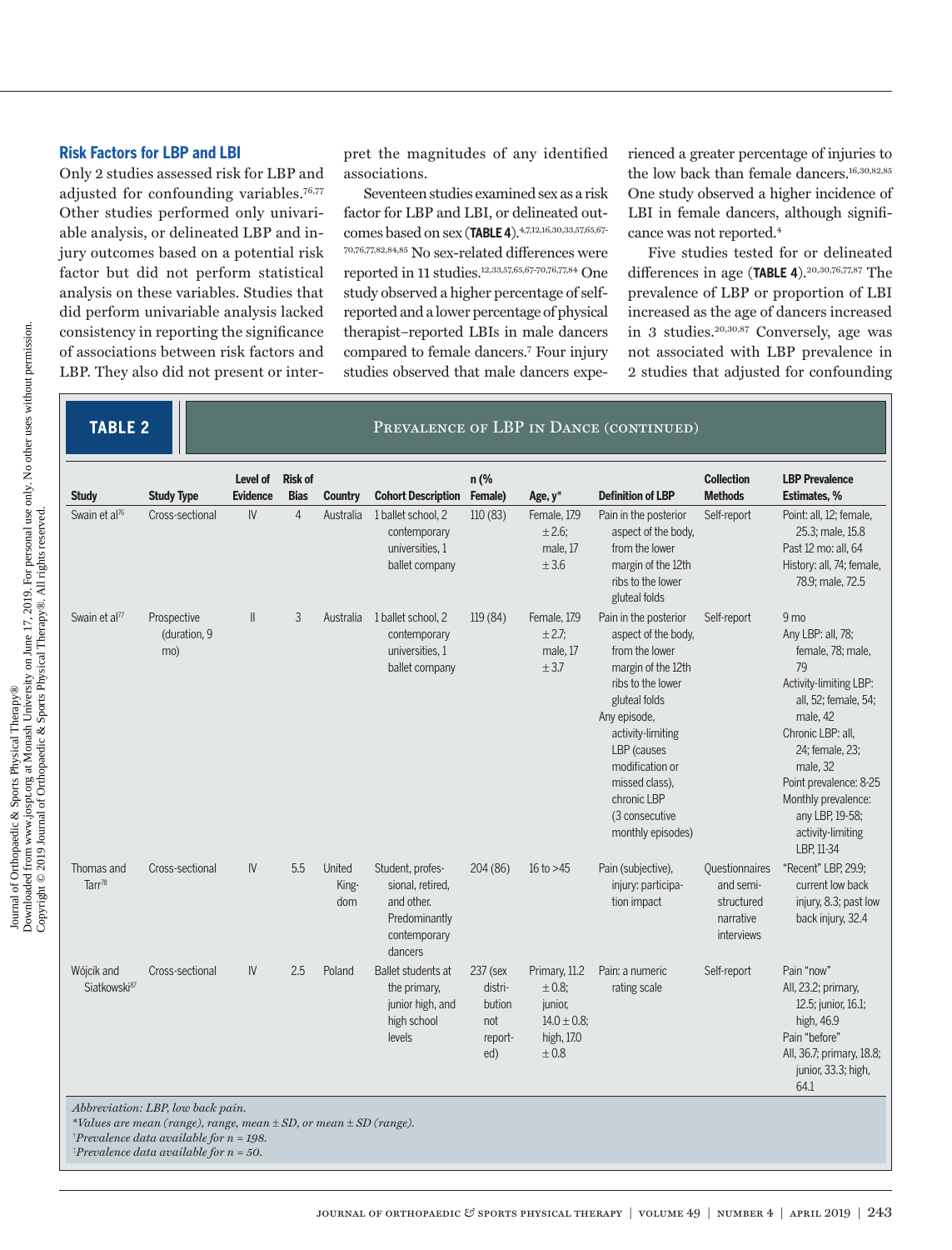#### **Risk Factors for LBP and LBI**

Only 2 studies assessed risk for LBP and adjusted for confounding variables.76,77 Other studies performed only univariable analysis, or delineated LBP and injury outcomes based on a potential risk factor but did not perform statistical analysis on these variables. Studies that did perform univariable analysis lacked consistency in reporting the significance of associations between risk factors and LBP. They also did not present or interpret the magnitudes of any identified associations.

Seventeen studies examined sex as a risk factor for LBP and LBI, or delineated outcomes based on sex (**TABLE 4**).4,7,12,16,30,33,57,65,67- 70,76,77,82,84,85 No sex-related differences were reported in 11 studies.12,33,57,65,67-70,76,77,84 One study observed a higher percentage of selfreported and a lower percentage of physical therapist–reported LBIs in male dancers compared to female dancers.7 Four injury studies observed that male dancers expe-

rienced a greater percentage of injuries to the low back than female dancers.<sup>16,30,82,85</sup> One study observed a higher incidence of LBI in female dancers, although significance was not reported.<sup>4</sup>

Five studies tested for or delineated differences in age (**TABLE 4**).20,30,76,77,87 The prevalence of LBP or proportion of LBI increased as the age of dancers increased in 3 studies.20,30,87 Conversely, age was not associated with LBP prevalence in 2 studies that adjusted for confounding

#### **TABLE 2 PREVALENCE OF LBP IN DANCE (CONTINUED)**

| <b>Study</b>                           | <b>Study Type</b>                  | Level of<br><b>Evidence</b> | <b>Risk of</b><br><b>Bias</b> | <b>Country</b>         | <b>Cohort Description</b>                                                                      | n (%<br>Female)                                        | Age, y*                                                                          | <b>Definition of LBP</b>                                                                                                                                                                                                                                                  | <b>Collection</b><br><b>Methods</b>                                  | <b>LBP Prevalence</b><br>Estimates, %                                                                                                                                                                                                                                         |
|----------------------------------------|------------------------------------|-----------------------------|-------------------------------|------------------------|------------------------------------------------------------------------------------------------|--------------------------------------------------------|----------------------------------------------------------------------------------|---------------------------------------------------------------------------------------------------------------------------------------------------------------------------------------------------------------------------------------------------------------------------|----------------------------------------------------------------------|-------------------------------------------------------------------------------------------------------------------------------------------------------------------------------------------------------------------------------------------------------------------------------|
| Swain et al <sup>76</sup>              | Cross-sectional                    | $\mathsf{IV}$               | $\overline{4}$                | Australia              | 1 ballet school, 2<br>contemporary<br>universities, 1<br>ballet company                        | 110(83)                                                | Female, 17.9<br>$± 2.6$ ;<br>male, 17<br>± 3.6                                   | Pain in the posterior<br>aspect of the body.<br>from the lower<br>margin of the 12th<br>ribs to the lower<br>gluteal folds                                                                                                                                                | Self-report                                                          | Point: all, 12; female,<br>25.3; male, 15.8<br>Past 12 mo: all, 64<br>History: all, 74; female,<br>78.9; male, 72.5                                                                                                                                                           |
| Swain et al <sup>77</sup>              | Prospective<br>(duration, 9<br>mo) | $\parallel$                 | 3                             | Australia              | 1 ballet school, 2<br>contemporary<br>universities, 1<br>ballet company                        | 119(84)                                                | Female, 17.9<br>± 2.7<br>male, 17<br>± 3.7                                       | Pain in the posterior<br>aspect of the body,<br>from the lower<br>margin of the 12th<br>ribs to the lower<br>gluteal folds<br>Any episode,<br>activity-limiting<br>LBP (causes<br>modification or<br>missed class).<br>chronic LBP<br>(3 consecutive<br>monthly episodes) | Self-report                                                          | 9 mo<br>Any LBP: all, 78;<br>female, 78; male,<br>79<br>Activity-limiting LBP:<br>all, 52; female, 54;<br>male, 42<br>Chronic LBP: all,<br>24; female, 23;<br>male, 32<br>Point prevalence: 8-25<br>Monthly prevalence:<br>any LBP, 19-58;<br>activity-limiting<br>LBP, 11-34 |
| Thomas and<br>Tarr <sup>78</sup>       | Cross-sectional                    | $\mathsf{IV}$               | 5.5                           | United<br>King-<br>dom | Student, profes-<br>sional, retired,<br>and other.<br>Predominantly<br>contemporary<br>dancers | 204(86)                                                | 16 to $>45$                                                                      | Pain (subjective),<br>injury: participa-<br>tion impact                                                                                                                                                                                                                   | Questionnaires<br>and semi-<br>structured<br>narrative<br>interviews | "Recent" LBP, 29.9;<br>current low back<br>injury, 8.3; past low<br>back injury, 32.4                                                                                                                                                                                         |
| Wójcik and<br>Siatkowski <sup>87</sup> | Cross-sectional                    | IV                          | 2.5                           | Poland                 | Ballet students at<br>the primary,<br>junior high, and<br>high school<br>levels                | 237 (sex<br>distri-<br>bution<br>not<br>report-<br>ed) | Primary, 11.2<br>$\pm$ 0.8;<br>junior,<br>$14.0 \pm 0.8$ ;<br>high, 17.0<br>±0.8 | Pain: a numeric<br>rating scale                                                                                                                                                                                                                                           | Self-report                                                          | Pain "now"<br>All, 23.2; primary,<br>12.5; junior, 16.1;<br>high, 46.9<br>Pain "before"<br>All, 36.7; primary, 18.8;<br>junior, 33.3; high,<br>64.1                                                                                                                           |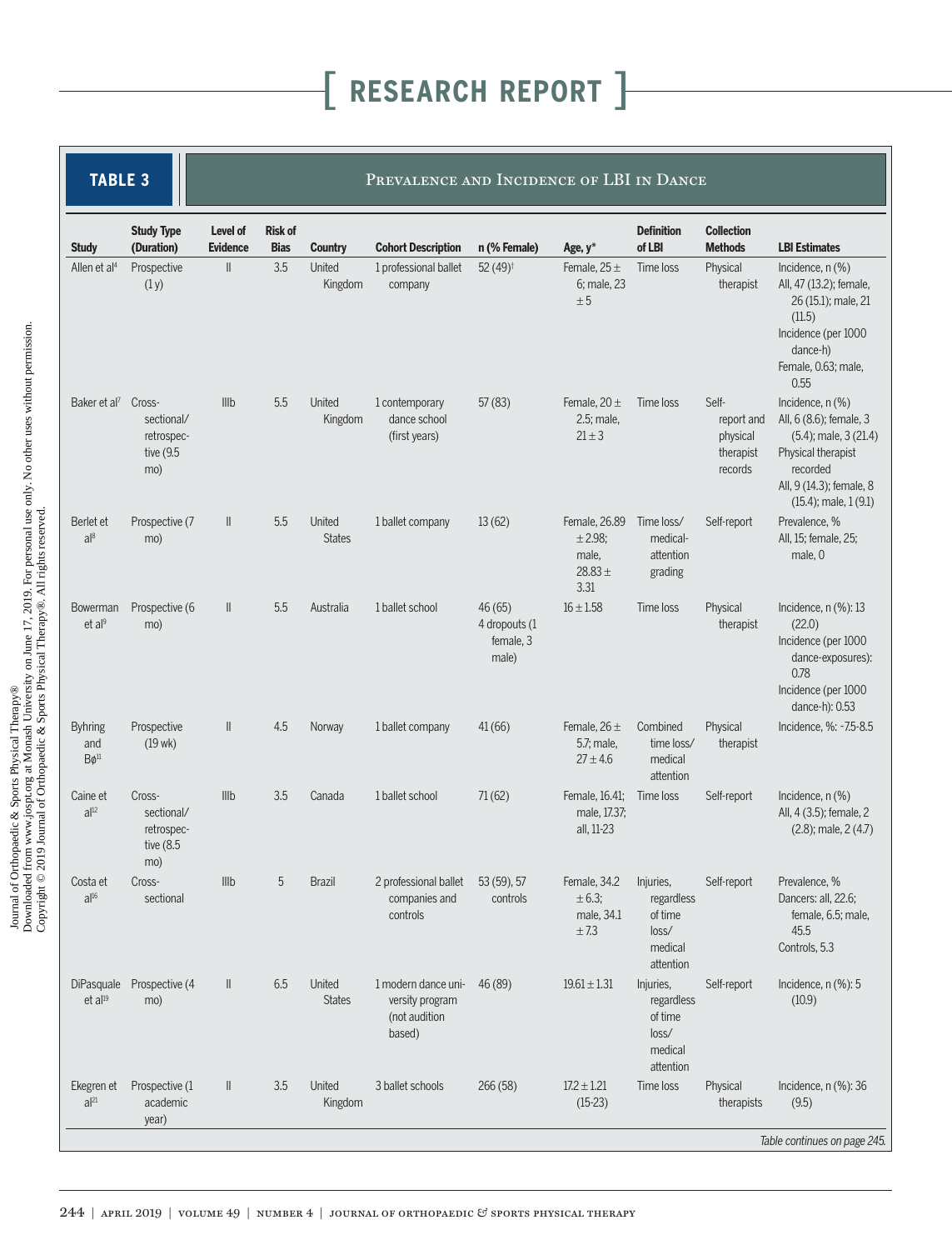| <b>TABLE 3</b>                        |                                                        |                             |                               |                         | PREVALENCE AND INCIDENCE OF LBI IN DANCE                          |                                               |                                                          |                                                                     |                                                         |                                                                                                                                                                      |
|---------------------------------------|--------------------------------------------------------|-----------------------------|-------------------------------|-------------------------|-------------------------------------------------------------------|-----------------------------------------------|----------------------------------------------------------|---------------------------------------------------------------------|---------------------------------------------------------|----------------------------------------------------------------------------------------------------------------------------------------------------------------------|
| <b>Study</b>                          | <b>Study Type</b><br>(Duration)                        | Level of<br><b>Evidence</b> | <b>Risk of</b><br><b>Bias</b> | <b>Country</b>          | <b>Cohort Description</b>                                         | n (% Female)                                  | Age, y*                                                  | <b>Definition</b><br>of LBI                                         | <b>Collection</b><br><b>Methods</b>                     | <b>LBI Estimates</b>                                                                                                                                                 |
| Allen et al <sup>4</sup>              | Prospective<br>(1y)                                    | $\parallel$                 | 3.5                           | United<br>Kingdom       | 1 professional ballet<br>company                                  | 52 $(49)$ <sup>†</sup>                        | Female, $25 \pm$<br>6; male, 23<br>± 5                   | Time loss                                                           | Physical<br>therapist                                   | Incidence, $n$ $(\%)$<br>All, 47 (13.2); female,<br>26 (15.1); male, 21<br>(11.5)<br>Incidence (per 1000<br>dance-h)<br>Female, 0.63; male,<br>0.55                  |
| Baker et al <sup>7</sup> Cross-       | sectional/<br>retrospec-<br>tive (9.5<br>mo)           | Illb                        | 5.5                           | United<br>Kingdom       | 1 contemporary<br>dance school<br>(first years)                   | 57(83)                                        | Female, 20 $\pm$<br>2.5; male,<br>$21 \pm 3$             | Time loss                                                           | Self-<br>report and<br>physical<br>therapist<br>records | Incidence, n (%)<br>All, 6 (8.6); female, 3<br>$(5.4)$ ; male, 3 $(21.4)$<br>Physical therapist<br>recorded<br>All, 9 (14.3); female, 8<br>$(15.4)$ ; male, $1(9.1)$ |
| Berlet et<br>a 8                      | Prospective (7<br>mo)                                  | $\parallel$                 | 5.5                           | United<br><b>States</b> | 1 ballet company                                                  | 13(62)                                        | Female, 26.89<br>± 2.98;<br>male,<br>28.83 $\pm$<br>3.31 | Time loss/<br>medical-<br>attention<br>grading                      | Self-report                                             | Prevalence, %<br>All, 15; female, 25;<br>male, 0                                                                                                                     |
| Bowerman<br>et al <sup>9</sup>        | Prospective (6<br>mo)                                  | $\parallel$                 | 5.5                           | Australia               | 1 ballet school                                                   | 46(65)<br>4 dropouts (1<br>female, 3<br>male) | $16 \pm 1.58$                                            | Time loss                                                           | Physical<br>therapist                                   | Incidence, $n$ (%): 13<br>(22.0)<br>Incidence (per 1000<br>dance-exposures):<br>0.78<br>Incidence (per 1000<br>dance-h): 0.53                                        |
| <b>Byhring</b><br>and<br>$B\phi^{11}$ | Prospective<br>$(19 \text{ wk})$                       | $\parallel$                 | 4.5                           | Norway                  | 1 ballet company                                                  | 41(66)                                        | Female, $26 \pm$<br>5.7; male,<br>$27 \pm 4.6$           | Combined<br>time loss/<br>medical<br>attention                      | Physical<br>therapist                                   | Incidence, %: ~7.5-8.5                                                                                                                                               |
| Caine et<br>$a ^{12}$                 | Cross-<br>sectional/<br>retrospec-<br>tive (8.5<br>mo) | III <sub>b</sub>            | 3.5                           | Canada                  | 1 ballet school                                                   | 71(62)                                        | Female, 16.41;<br>male, 17.37;<br>all, 11-23             | Time loss                                                           | Self-report                                             | Incidence, $n$ $(\%)$<br>All, 4 (3.5); female, 2<br>$(2.8)$ ; male, $2(4.7)$                                                                                         |
| Costa et<br>al <sup>16</sup>          | Cross-<br>sectional                                    | Illb                        | 5                             | <b>Brazil</b>           | 2 professional ballet<br>companies and<br>controls                | 53 (59), 57<br>controls                       | Female, 34.2<br>$\pm 6.3;$<br>male, 34.1<br>± 7.3        | Injuries,<br>regardless<br>of time<br>loss/<br>medical<br>attention | Self-report                                             | Prevalence, %<br>Dancers: all, 22.6;<br>female, 6.5; male,<br>45.5<br>Controls, 5.3                                                                                  |
| DiPasquale<br>et al <sup>19</sup>     | Prospective (4<br>mo)                                  | $\parallel$                 | 6.5                           | United<br><b>States</b> | 1 modern dance uni-<br>versity program<br>(not audition<br>based) | 46 (89)                                       | $19.61 \pm 1.31$                                         | Injuries,<br>regardless<br>of time<br>loss/<br>medical<br>attention | Self-report                                             | Incidence, $n$ (%): 5<br>(10.9)                                                                                                                                      |
| Ekegren et<br>al <sup>21</sup>        | Prospective (1<br>academic<br>year)                    | Ш                           | 3.5                           | United<br>Kingdom       | 3 ballet schools                                                  | 266 (58)                                      | $17.2 \pm 1.21$<br>$(15-23)$                             | Time loss                                                           | Physical<br>therapists                                  | Incidence, $n$ (%): 36<br>(9.5)<br>Table continues on page 245.                                                                                                      |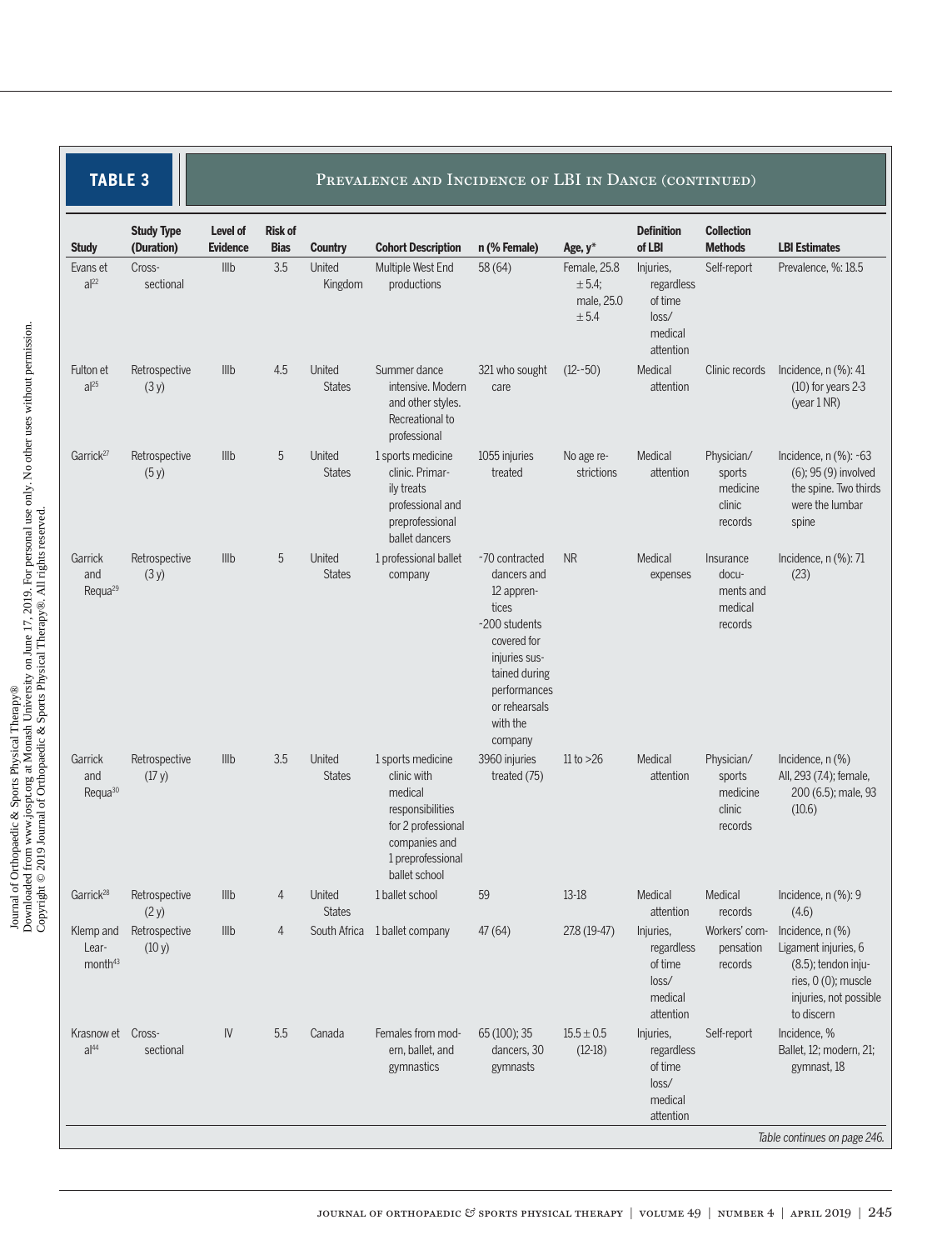| <b>TABLE 3</b> |  |  |
|----------------|--|--|
|                |  |  |

#### PREVALENCE AND INCIDENCE OF LBI IN DANCE (CONTINUED)

| <b>Study</b>                              | <b>Study Type</b><br>(Duration) | Level of<br><b>Evidence</b> | <b>Risk of</b><br><b>Bias</b> | <b>Country</b>          | <b>Cohort Description</b>                                                                                                                    | n (% Female)                                                                                                                                                                   | Age, y*                                          | <b>Definition</b><br>of LBI                                         | <b>Collection</b><br><b>Methods</b>                   | <b>LBI Estimates</b>                                                                                                             |
|-------------------------------------------|---------------------------------|-----------------------------|-------------------------------|-------------------------|----------------------------------------------------------------------------------------------------------------------------------------------|--------------------------------------------------------------------------------------------------------------------------------------------------------------------------------|--------------------------------------------------|---------------------------------------------------------------------|-------------------------------------------------------|----------------------------------------------------------------------------------------------------------------------------------|
| Evans et<br>$a^{22}$                      | Cross-<br>sectional             | Illb                        | 3.5                           | United<br>Kingdom       | Multiple West End<br>productions                                                                                                             | 58(64)                                                                                                                                                                         | Female, 25.8<br>$± 5.4$ ;<br>male, 25.0<br>± 5.4 | Injuries,<br>regardless<br>of time<br>loss/<br>medical<br>attention | Self-report                                           | Prevalence, %: 18.5                                                                                                              |
| Fulton et<br>$a^{25}$                     | Retrospective<br>(3y)           | Illb                        | 4.5                           | United<br><b>States</b> | Summer dance<br>intensive. Modern<br>and other styles.<br>Recreational to<br>professional                                                    | 321 who sought<br>care                                                                                                                                                         | $(12 - 50)$                                      | Medical<br>attention                                                | Clinic records                                        | Incidence, $n$ (%): 41<br>$(10)$ for years 2-3<br>(year $1$ NR)                                                                  |
| Garrick <sup>27</sup>                     | Retrospective<br>(5y)           | Illb                        | 5                             | United<br><b>States</b> | 1 sports medicine<br>clinic. Primar-<br>ily treats<br>professional and<br>preprofessional<br>ballet dancers                                  | 1055 injuries<br>treated                                                                                                                                                       | No age re-<br>strictions                         | Medical<br>attention                                                | Physician/<br>sports<br>medicine<br>clinic<br>records | Incidence, $n$ (%): ~63<br>(6); 95 (9) involved<br>the spine. Two thirds<br>were the lumbar<br>spine                             |
| Garrick<br>and<br>Requa <sup>29</sup>     | Retrospective<br>(3y)           | Illb                        | 5                             | United<br><b>States</b> | 1 professional ballet<br>company                                                                                                             | ~70 contracted<br>dancers and<br>12 appren-<br>tices<br>~200 students<br>covered for<br>injuries sus-<br>tained during<br>performances<br>or rehearsals<br>with the<br>company | <b>NR</b>                                        | Medical<br>expenses                                                 | Insurance<br>docu-<br>ments and<br>medical<br>records | Incidence, $n$ (%): 71<br>(23)                                                                                                   |
| Garrick<br>and<br>Requa <sup>30</sup>     | Retrospective<br>(17 y)         | Illb                        | 3.5                           | United<br><b>States</b> | 1 sports medicine<br>clinic with<br>medical<br>responsibilities<br>for 2 professional<br>companies and<br>1 preprofessional<br>ballet school | 3960 injuries<br>treated (75)                                                                                                                                                  | 11 to $>26$                                      | Medical<br>attention                                                | Physician/<br>sports<br>medicine<br>clinic<br>records | Incidence, n (%)<br>All, 293 (7.4); female,<br>200 (6.5); male, 93<br>(10.6)                                                     |
| Garrick <sup>28</sup>                     | Retrospective<br>(2 y)          | Illb                        | 4                             | United<br><b>States</b> | 1 ballet school                                                                                                                              | 59                                                                                                                                                                             | 13-18                                            | Medical<br>attention                                                | Medical<br>records                                    | Incidence, n (%): 9<br>(4.6)                                                                                                     |
| Klemp and<br>Lear-<br>month <sup>43</sup> | Retrospective<br>(10 y)         | Illb                        | 4                             |                         | South Africa 1 ballet company                                                                                                                | 47(64)                                                                                                                                                                         | 27.8 (19-47)                                     | Injuries,<br>regardless<br>of time<br>loss/<br>medical<br>attention | Workers' com-<br>pensation<br>records                 | Incidence, $n$ $%$<br>Ligament injuries, 6<br>(8.5); tendon inju-<br>ries, 0 (0); muscle<br>injuries, not possible<br>to discern |
| Krasnow et<br>al <sup>44</sup>            | Cross-<br>sectional             | $\mathsf{IV}$               | 5.5                           | Canada                  | Females from mod-<br>ern, ballet, and<br>gymnastics                                                                                          | 65 (100); 35<br>dancers, 30<br>gymnasts                                                                                                                                        | $15.5 \pm 0.5$<br>$(12-18)$                      | Injuries,<br>regardless<br>of time<br>loss/<br>medical<br>attention | Self-report                                           | Incidence, %<br>Ballet, 12; modern, 21;<br>gymnast, 18                                                                           |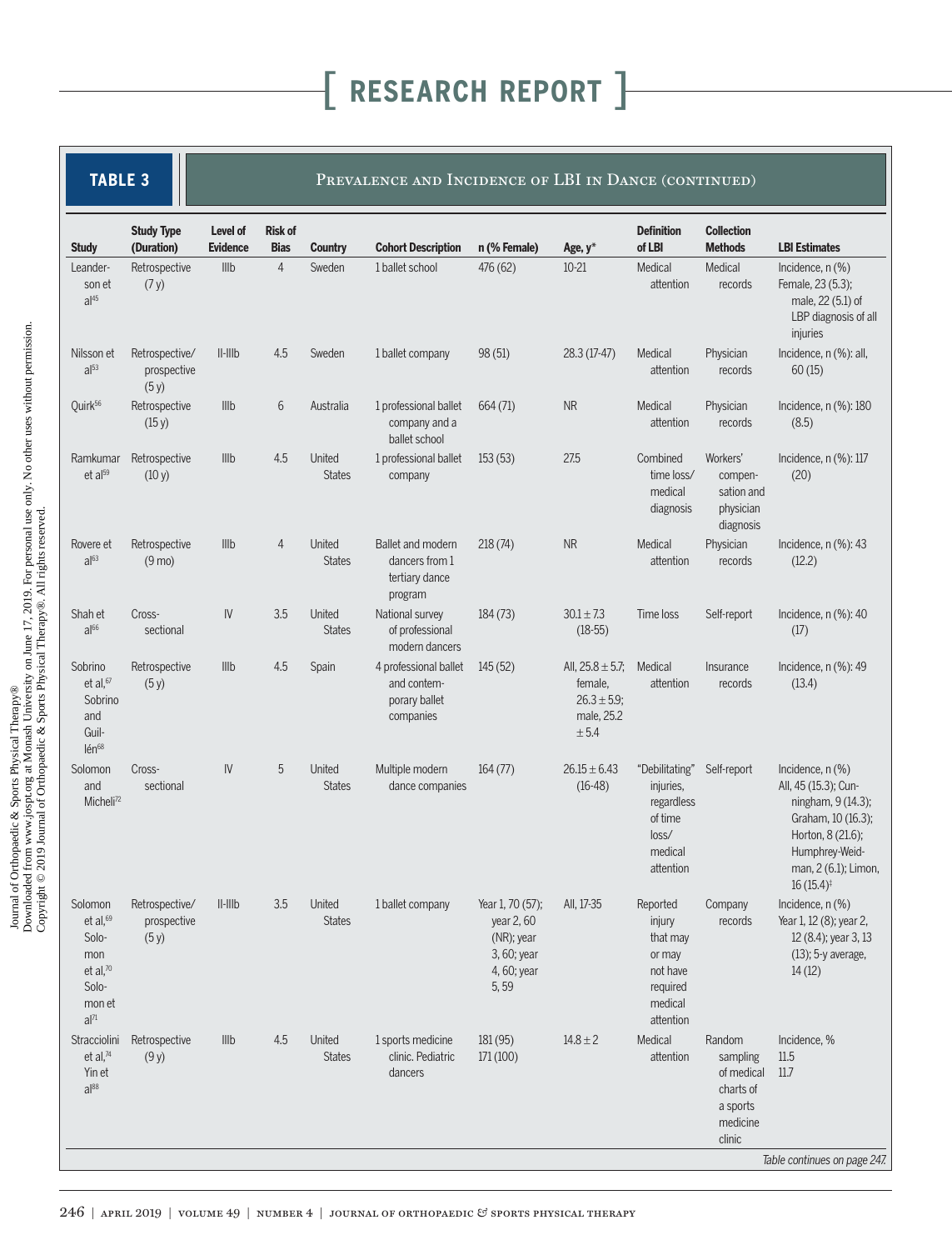|  | TABLE 3 |  |  |
|--|---------|--|--|
|  |         |  |  |
|  |         |  |  |

#### PREVALENCE AND INCIDENCE OF LBI IN DANCE (CONTINUED)

| $\overline{4}$<br>IIIb<br>Sweden<br>476 (62)<br>$10 - 21$<br>Medical<br>Medical<br>Leander-<br>Retrospective<br>1 ballet school<br>attention<br>(7y)<br>records<br>son et<br>al <sup>45</sup><br>injuries<br>Retrospective/<br>$II$ - $IIIb$<br>4.5<br>98 (51)<br>28.3 (17-47)<br>Physician<br>Sweden<br>1 ballet company<br>Medical<br>Nilsson et<br>al <sup>53</sup><br>60(15)<br>prospective<br>attention<br>records<br>(5y)<br>Quirk <sup>56</sup><br>Retrospective<br>IIIb<br>6<br><b>NR</b><br>Medical<br>Physician<br>Australia<br>1 professional ballet<br>664(71)<br>(15 y)<br>company and a<br>attention<br>records<br>(8.5)<br>ballet school<br>4.5<br>Illb<br>United<br>27.5<br>Ramkumar<br>Retrospective<br>1 professional ballet<br>153(53)<br>Combined<br>Workers'<br>et al <sup>59</sup><br><b>States</b><br>(10 y)<br>time loss/<br>(20)<br>company<br>compen-<br>medical<br>sation and<br>physician<br>diagnosis<br>diagnosis<br>NR<br>IIIb<br>United<br>Ballet and modern<br>Medical<br>Physician<br>Retrospective<br>4<br>218(74)<br>Rovere et<br>$a$ <sup>63</sup><br><b>States</b><br>$(9 \text{ mo})$<br>dancers from 1<br>attention<br>records<br>(12.2)<br>tertiary dance<br>program<br>3.5<br>Cross-<br>$\mathsf{IV}$<br>United<br>National survey<br>$30.1 + 7.3$<br>Shah et<br>184(73)<br>Time loss<br>Self-report<br>al <sup>66</sup><br>sectional<br><b>States</b><br>$(18-55)$<br>of professional<br>(17)<br>modern dancers<br>4.5<br>IIIb<br>Spain<br>All, $25.8 \pm 5.7$ ;<br>Sobrino<br>Retrospective<br>4 professional ballet<br>145(52)<br>Medical<br>Insurance<br>et al, 67<br>and contem-<br>female,<br>attention<br>(13.4)<br>(5y)<br>records<br>Sobrino<br>porary ballet<br>$26.3 \pm 5.9$ ;<br>male, 25.2<br>and<br>companies<br>Guil-<br>± 5.4<br>Ién668<br>5<br>United<br>$\mathsf{IV}$<br>Multiple modern<br>Solomon<br>Cross-<br>164(77)<br>$26.15 \pm 6.43$<br>"Debilitating"<br>Self-report<br>sectional<br>and<br><b>States</b><br>dance companies<br>$(16-48)$<br>injuries,<br>Micheli <sup>72</sup><br>regardless<br>of time<br>loss/<br>medical<br>attention<br>$16(15.4)$ <sup>‡</sup><br>Retrospective/<br>$\ $ - $\ $ $\ $<br>3.5<br>United<br>Solomon<br>1 ballet company<br>Year 1, 70 (57);<br>All, 17-35<br>Reported<br>Company<br>et al, $69$<br>prospective<br><b>States</b><br>year 2,60<br>injury<br>records<br>Solo-<br>(5y)<br>(NR); year<br>that may<br>3, 60; year<br>mon<br>or may<br>et al, $70$<br>4, 60; year<br>not have<br>14(12)<br>5,59<br>Solo-<br>required<br>medical<br>mon et<br>$al^{71}$<br>attention<br>Medical<br>4.5<br>United<br>$14.8 \pm 2$<br>Random<br>Incidence, %<br>Stracciolini<br>Retrospective<br>III <sub>b</sub><br>1 sports medicine<br>181(95)<br>et al, $74$<br><b>States</b><br>clinic. Pediatric<br>171(100)<br>11.5<br>(9y)<br>attention<br>sampling<br>Yin et<br>of medical<br>11.7<br>dancers<br>$a$ <sup>88</sup><br>charts of<br>a sports<br>medicine |              | <b>Study Type</b> | Level of<br><b>Evidence</b> | <b>Risk of</b> |                |                           |              |         | <b>Definition</b><br>of LBI | <b>Collection</b><br><b>Methods</b> | <b>LBI Estimates</b>                                                                                                                                     |
|-----------------------------------------------------------------------------------------------------------------------------------------------------------------------------------------------------------------------------------------------------------------------------------------------------------------------------------------------------------------------------------------------------------------------------------------------------------------------------------------------------------------------------------------------------------------------------------------------------------------------------------------------------------------------------------------------------------------------------------------------------------------------------------------------------------------------------------------------------------------------------------------------------------------------------------------------------------------------------------------------------------------------------------------------------------------------------------------------------------------------------------------------------------------------------------------------------------------------------------------------------------------------------------------------------------------------------------------------------------------------------------------------------------------------------------------------------------------------------------------------------------------------------------------------------------------------------------------------------------------------------------------------------------------------------------------------------------------------------------------------------------------------------------------------------------------------------------------------------------------------------------------------------------------------------------------------------------------------------------------------------------------------------------------------------------------------------------------------------------------------------------------------------------------------------------------------------------------------------------------------------------------------------------------------------------------------------------------------------------------------------------------------------------------------------------------------------------------------------------------------------------------------------------------------------------------------------------------------------------------------------------------------------------------------------------------------------------------------------------------------------------------------------------------------------------------------------------------------------------------------------------------------------------------------------------------------------------------|--------------|-------------------|-----------------------------|----------------|----------------|---------------------------|--------------|---------|-----------------------------|-------------------------------------|----------------------------------------------------------------------------------------------------------------------------------------------------------|
|                                                                                                                                                                                                                                                                                                                                                                                                                                                                                                                                                                                                                                                                                                                                                                                                                                                                                                                                                                                                                                                                                                                                                                                                                                                                                                                                                                                                                                                                                                                                                                                                                                                                                                                                                                                                                                                                                                                                                                                                                                                                                                                                                                                                                                                                                                                                                                                                                                                                                                                                                                                                                                                                                                                                                                                                                                                                                                                                                                 | <b>Study</b> | (Duration)        |                             | <b>Bias</b>    | <b>Country</b> | <b>Cohort Description</b> | n (% Female) | Age, y* |                             |                                     | Incidence, $n$ $%$<br>Female, 23 (5.3);<br>male, 22 (5.1) of<br>LBP diagnosis of all                                                                     |
|                                                                                                                                                                                                                                                                                                                                                                                                                                                                                                                                                                                                                                                                                                                                                                                                                                                                                                                                                                                                                                                                                                                                                                                                                                                                                                                                                                                                                                                                                                                                                                                                                                                                                                                                                                                                                                                                                                                                                                                                                                                                                                                                                                                                                                                                                                                                                                                                                                                                                                                                                                                                                                                                                                                                                                                                                                                                                                                                                                 |              |                   |                             |                |                |                           |              |         |                             |                                     | Incidence, n (%): all,                                                                                                                                   |
|                                                                                                                                                                                                                                                                                                                                                                                                                                                                                                                                                                                                                                                                                                                                                                                                                                                                                                                                                                                                                                                                                                                                                                                                                                                                                                                                                                                                                                                                                                                                                                                                                                                                                                                                                                                                                                                                                                                                                                                                                                                                                                                                                                                                                                                                                                                                                                                                                                                                                                                                                                                                                                                                                                                                                                                                                                                                                                                                                                 |              |                   |                             |                |                |                           |              |         |                             |                                     | Incidence, $n$ (%): 180                                                                                                                                  |
|                                                                                                                                                                                                                                                                                                                                                                                                                                                                                                                                                                                                                                                                                                                                                                                                                                                                                                                                                                                                                                                                                                                                                                                                                                                                                                                                                                                                                                                                                                                                                                                                                                                                                                                                                                                                                                                                                                                                                                                                                                                                                                                                                                                                                                                                                                                                                                                                                                                                                                                                                                                                                                                                                                                                                                                                                                                                                                                                                                 |              |                   |                             |                |                |                           |              |         |                             |                                     | Incidence, $n$ (%): 117                                                                                                                                  |
|                                                                                                                                                                                                                                                                                                                                                                                                                                                                                                                                                                                                                                                                                                                                                                                                                                                                                                                                                                                                                                                                                                                                                                                                                                                                                                                                                                                                                                                                                                                                                                                                                                                                                                                                                                                                                                                                                                                                                                                                                                                                                                                                                                                                                                                                                                                                                                                                                                                                                                                                                                                                                                                                                                                                                                                                                                                                                                                                                                 |              |                   |                             |                |                |                           |              |         |                             |                                     | Incidence, $n$ (%): 43                                                                                                                                   |
|                                                                                                                                                                                                                                                                                                                                                                                                                                                                                                                                                                                                                                                                                                                                                                                                                                                                                                                                                                                                                                                                                                                                                                                                                                                                                                                                                                                                                                                                                                                                                                                                                                                                                                                                                                                                                                                                                                                                                                                                                                                                                                                                                                                                                                                                                                                                                                                                                                                                                                                                                                                                                                                                                                                                                                                                                                                                                                                                                                 |              |                   |                             |                |                |                           |              |         |                             |                                     | Incidence, $n$ (%): 40                                                                                                                                   |
|                                                                                                                                                                                                                                                                                                                                                                                                                                                                                                                                                                                                                                                                                                                                                                                                                                                                                                                                                                                                                                                                                                                                                                                                                                                                                                                                                                                                                                                                                                                                                                                                                                                                                                                                                                                                                                                                                                                                                                                                                                                                                                                                                                                                                                                                                                                                                                                                                                                                                                                                                                                                                                                                                                                                                                                                                                                                                                                                                                 |              |                   |                             |                |                |                           |              |         |                             |                                     | Incidence, $n$ (%): 49                                                                                                                                   |
|                                                                                                                                                                                                                                                                                                                                                                                                                                                                                                                                                                                                                                                                                                                                                                                                                                                                                                                                                                                                                                                                                                                                                                                                                                                                                                                                                                                                                                                                                                                                                                                                                                                                                                                                                                                                                                                                                                                                                                                                                                                                                                                                                                                                                                                                                                                                                                                                                                                                                                                                                                                                                                                                                                                                                                                                                                                                                                                                                                 |              |                   |                             |                |                |                           |              |         |                             |                                     | Incidence, $n$ $(\%)$<br>All, 45 (15.3); Cun-<br>ningham, 9 (14.3);<br>Graham, 10 (16.3);<br>Horton, 8 (21.6);<br>Humphrey-Weid-<br>man, 2 (6.1); Limon, |
|                                                                                                                                                                                                                                                                                                                                                                                                                                                                                                                                                                                                                                                                                                                                                                                                                                                                                                                                                                                                                                                                                                                                                                                                                                                                                                                                                                                                                                                                                                                                                                                                                                                                                                                                                                                                                                                                                                                                                                                                                                                                                                                                                                                                                                                                                                                                                                                                                                                                                                                                                                                                                                                                                                                                                                                                                                                                                                                                                                 |              |                   |                             |                |                |                           |              |         |                             |                                     | Incidence, n (%)<br>Year 1, 12 (8); year 2,<br>12 (8.4); year 3, 13<br>(13); 5-y average,                                                                |
|                                                                                                                                                                                                                                                                                                                                                                                                                                                                                                                                                                                                                                                                                                                                                                                                                                                                                                                                                                                                                                                                                                                                                                                                                                                                                                                                                                                                                                                                                                                                                                                                                                                                                                                                                                                                                                                                                                                                                                                                                                                                                                                                                                                                                                                                                                                                                                                                                                                                                                                                                                                                                                                                                                                                                                                                                                                                                                                                                                 |              |                   |                             |                |                |                           |              |         |                             | clinic                              | Table continues on page 247.                                                                                                                             |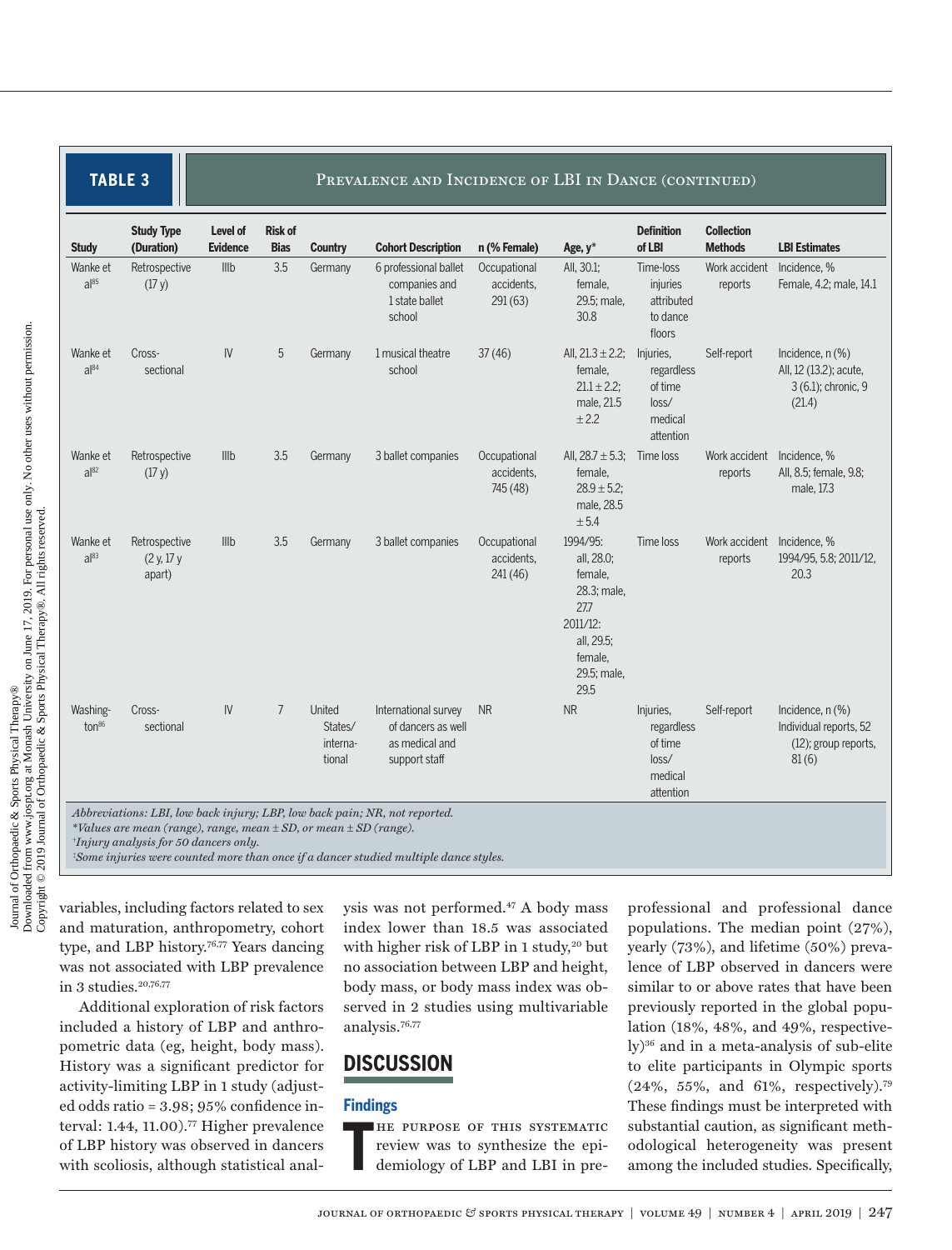**TABLE 3 PREVALENCE AND INCIDENCE OF LBI IN DANCE (CONTINUED)** 

| <b>Study</b>                  | <b>Study Type</b><br>(Duration)                                                                                                                                                                                                                                                                     | Level of<br><b>Evidence</b> | <b>Risk of</b><br><b>Bias</b> | <b>Country</b>                          | <b>Cohort Description</b>                                                     | n (% Female)                           | Age, y*                                                                                                                 | <b>Definition</b><br>of LBI                                         | <b>Collection</b><br><b>Methods</b> | <b>LBI Estimates</b>                                                             |
|-------------------------------|-----------------------------------------------------------------------------------------------------------------------------------------------------------------------------------------------------------------------------------------------------------------------------------------------------|-----------------------------|-------------------------------|-----------------------------------------|-------------------------------------------------------------------------------|----------------------------------------|-------------------------------------------------------------------------------------------------------------------------|---------------------------------------------------------------------|-------------------------------------|----------------------------------------------------------------------------------|
| Wanke et<br>$a^{85}$          | Retrospective<br>(17 y)                                                                                                                                                                                                                                                                             | Illb                        | 3.5                           | Germany                                 | 6 professional ballet<br>companies and<br>1 state ballet<br>school            | Occupational<br>accidents.<br>291(63)  | All, 30.1;<br>female,<br>29.5; male,<br>30.8                                                                            | Time-loss<br>injuries<br>attributed<br>to dance<br>floors           | Work accident<br>reports            | Incidence, %<br>Female, 4.2; male, 14.1                                          |
| Wanke et<br>$a^{84}$          | Cross-<br>sectional                                                                                                                                                                                                                                                                                 | IV                          | 5                             | Germany                                 | 1 musical theatre<br>school                                                   | 37(46)                                 | All, $21.3 \pm 2.2$ ;<br>female.<br>$21.1 \pm 2.2$ ;<br>male, 21.5<br>± 2.2                                             | Injuries,<br>regardless<br>of time<br>loss/<br>medical<br>attention | Self-report                         | Incidence, $n$ $(\%)$<br>All, 12 (13.2); acute,<br>3 (6.1); chronic, 9<br>(21.4) |
| Wanke et<br>$a^{82}$          | Retrospective<br>(17 y)                                                                                                                                                                                                                                                                             | IIIb                        | 3.5                           | Germany                                 | 3 ballet companies                                                            | Occupational<br>accidents.<br>745 (48) | All, $28.7 \pm 5.3$ ;<br>female,<br>$28.9 \pm 5.2$ ;<br>male, 28.5<br>± 5.4                                             | Time loss                                                           | Work accident<br>reports            | Incidence. %<br>All, 8.5; female, 9.8;<br>male, 17.3                             |
| Wanke et<br>a 83              | Retrospective<br>(2 y, 17 y)<br>apart)                                                                                                                                                                                                                                                              | III <sub>b</sub>            | 3.5                           | Germany                                 | 3 ballet companies                                                            | Occupational<br>accidents.<br>241(46)  | 1994/95:<br>all, 28.0;<br>female,<br>28.3; male,<br>27.7<br>$2011/12$ :<br>all, 29.5;<br>female,<br>29.5; male,<br>29.5 | Time loss                                                           | Work accident<br>reports            | Incidence. %<br>1994/95, 5.8; 2011/12,<br>20.3                                   |
| Washing-<br>ton <sup>86</sup> | Cross-<br>sectional                                                                                                                                                                                                                                                                                 | IV.                         | $7\overline{ }$               | United<br>States/<br>interna-<br>tional | International survey<br>of dancers as well<br>as medical and<br>support staff | <b>NR</b>                              | <b>NR</b>                                                                                                               | Injuries,<br>regardless<br>of time<br>loss/<br>medical<br>attention | Self-report                         | Incidence, n (%)<br>Individual reports, 52<br>(12); group reports,<br>81(6)      |
|                               | Abbreviations: LBI, low back injury; LBP, low back pain; NR, not reported.<br>*Values are mean (range), range, mean $\pm$ SD, or mean $\pm$ SD (range).<br>$†$ <i>Injury analysis for 50 dancers only.</i><br>*Some injuries were counted more than once if a dancer studied multiple dance styles. |                             |                               |                                         |                                                                               |                                        |                                                                                                                         |                                                                     |                                     |                                                                                  |

variables, including factors related to sex and maturation, anthropometry, cohort type, and LBP history.<sup>76,77</sup> Years dancing was not associated with LBP prevalence in 3 studies. $20,76,77$ 

Additional exploration of risk factors included a history of LBP and anthropometric data (eg, height, body mass). History was a significant predictor for activity-limiting LBP in 1 study (adjusted odds ratio = 3.98; 95% confidence interval: 1.44, 11.00).77 Higher prevalence of LBP history was observed in dancers with scoliosis, although statistical analysis was not performed.47 A body mass index lower than 18.5 was associated with higher risk of LBP in 1 study,<sup>20</sup> but no association between LBP and height, body mass, or body mass index was observed in 2 studies using multivariable analysis.76,77

### **DISCUSSION**

#### **Findings**

**T** he purpose of this systematic review was to synthesize the epidemiology of LBP and LBI in pre-

professional and professional dance populations. The median point (27%), yearly (73%), and lifetime (50%) prevalence of LBP observed in dancers were similar to or above rates that have been previously reported in the global population (18%, 48%, and 49%, respectively)36 and in a meta-analysis of sub-elite to elite participants in Olympic sports (24%, 55%, and 61%, respectively).79 These findings must be interpreted with substantial caution, as significant methodological heterogeneity was present among the included studies. Specifically,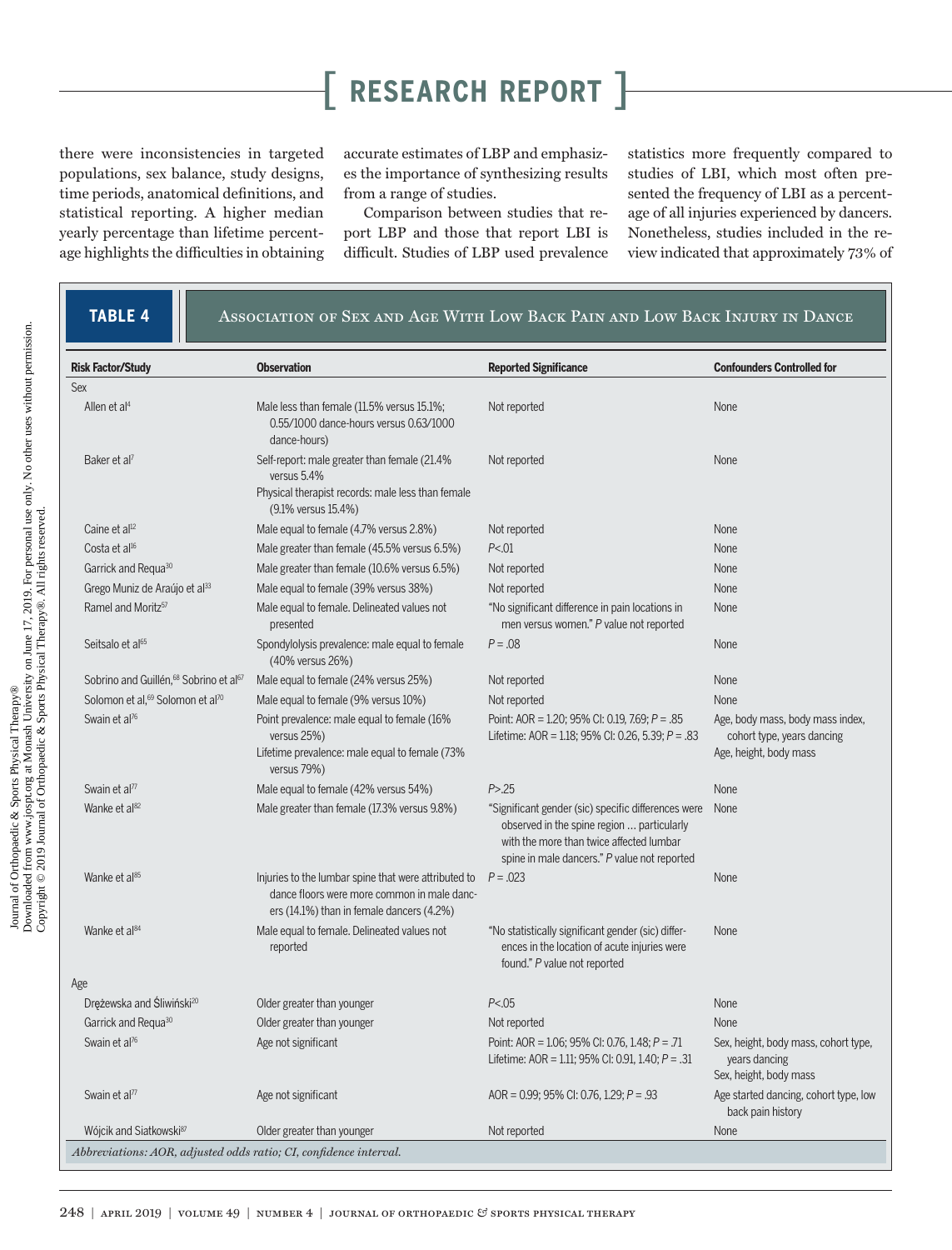there were inconsistencies in targeted populations, sex balance, study designs, time periods, anatomical definitions, and statistical reporting. A higher median yearly percentage than lifetime percentage highlights the difficulties in obtaining accurate estimates of LBP and emphasizes the importance of synthesizing results from a range of studies.

Comparison between studies that report LBP and those that report LBI is difficult. Studies of LBP used prevalence statistics more frequently compared to studies of LBI, which most often presented the frequency of LBI as a percentage of all injuries experienced by dancers. Nonetheless, studies included in the review indicated that approximately 73% of

### **TABLE 4 A**ssociation of Sex and Age With Low Back Pain and Low Back Injury in Dance

| <b>Risk Factor/Study</b>                                          | <b>Observation</b>                                                                                                                               | <b>Reported Significance</b>                                                                                                                                                                  | <b>Confounders Controlled for</b>                                                        |  |
|-------------------------------------------------------------------|--------------------------------------------------------------------------------------------------------------------------------------------------|-----------------------------------------------------------------------------------------------------------------------------------------------------------------------------------------------|------------------------------------------------------------------------------------------|--|
| Sex                                                               |                                                                                                                                                  |                                                                                                                                                                                               |                                                                                          |  |
| Allen et al <sup>4</sup>                                          | Male less than female (11.5% versus 15.1%;<br>0.55/1000 dance-hours versus 0.63/1000<br>dance-hours)                                             | Not reported                                                                                                                                                                                  | None                                                                                     |  |
| Baker et al?                                                      | Self-report: male greater than female (21.4%<br>versus 5.4%<br>Physical therapist records: male less than female<br>(9.1% versus 15.4%)          | Not reported                                                                                                                                                                                  | None                                                                                     |  |
| Caine et al <sup>12</sup>                                         | Male equal to female (4.7% versus 2.8%)                                                                                                          | Not reported                                                                                                                                                                                  | <b>None</b>                                                                              |  |
| Costa et al <sup>16</sup>                                         | Male greater than female (45.5% versus 6.5%)                                                                                                     | P < .01                                                                                                                                                                                       | None                                                                                     |  |
| Garrick and Requa <sup>30</sup>                                   | Male greater than female (10.6% versus 6.5%)                                                                                                     | Not reported                                                                                                                                                                                  | None                                                                                     |  |
| Grego Muniz de Araújo et al <sup>33</sup>                         | Male equal to female (39% versus 38%)                                                                                                            | Not reported                                                                                                                                                                                  | None                                                                                     |  |
| Ramel and Moritz <sup>57</sup>                                    | Male equal to female. Delineated values not<br>presented                                                                                         | "No significant difference in pain locations in<br>men versus women." P value not reported                                                                                                    | None                                                                                     |  |
| Seitsalo et al <sup>65</sup>                                      | Spondylolysis prevalence: male equal to female<br>(40% versus 26%)                                                                               | $P = .08$                                                                                                                                                                                     | None                                                                                     |  |
| Sobrino and Guillén, <sup>68</sup> Sobrino et al <sup>67</sup>    | Male equal to female (24% versus 25%)                                                                                                            | Not reported                                                                                                                                                                                  | None                                                                                     |  |
| Solomon et al, <sup>69</sup> Solomon et al <sup>70</sup>          | Male equal to female (9% versus 10%)                                                                                                             | Not reported                                                                                                                                                                                  | None                                                                                     |  |
| Swain et al <sup>76</sup>                                         | Point prevalence: male equal to female (16%)<br>versus 25%)<br>Lifetime prevalence: male equal to female (73%<br>versus 79%)                     | Point: AOR = 1.20; 95% CI: 0.19, 7.69; $P = .85$<br>Lifetime: AOR = 1.18; 95% CI: 0.26, 5.39; $P = .83$                                                                                       | Age, body mass, body mass index,<br>cohort type, years dancing<br>Age, height, body mass |  |
| Swain et al <sup>77</sup>                                         | Male equal to female (42% versus 54%)                                                                                                            | P > .25                                                                                                                                                                                       | None                                                                                     |  |
| Wanke et al <sup>82</sup>                                         | Male greater than female (17.3% versus 9.8%)                                                                                                     | "Significant gender (sic) specific differences were<br>observed in the spine region  particularly<br>with the more than twice affected lumbar<br>spine in male dancers." P value not reported | None                                                                                     |  |
| Wanke et al <sup>85</sup>                                         | Injuries to the lumbar spine that were attributed to<br>dance floors were more common in male danc-<br>ers (14.1%) than in female dancers (4.2%) | $P = 0.023$                                                                                                                                                                                   | None                                                                                     |  |
| Wanke et al <sup>84</sup>                                         | Male equal to female. Delineated values not<br>reported                                                                                          | "No statistically significant gender (sic) differ-<br>ences in the location of acute injuries were<br>found." P value not reported                                                            | None                                                                                     |  |
| Age                                                               |                                                                                                                                                  |                                                                                                                                                                                               |                                                                                          |  |
| Drężewska and Śliwiński <sup>20</sup>                             | Older greater than younger                                                                                                                       | P < .05                                                                                                                                                                                       | None                                                                                     |  |
| Garrick and Requa <sup>30</sup>                                   | Older greater than younger                                                                                                                       | Not reported                                                                                                                                                                                  | None                                                                                     |  |
| Swain et al <sup>76</sup>                                         | Age not significant                                                                                                                              | Point: AOR = $1.06$ ; 95% CI: 0.76, 1.48; $P = .71$<br>Lifetime: AOR = 1.11; 95% CI: 0.91, 1.40; $P = .31$                                                                                    | Sex, height, body mass, cohort type,<br>years dancing<br>Sex, height, body mass          |  |
| Swain et al <sup>77</sup>                                         | Age not significant                                                                                                                              | AOR = $0.99$ ; 95% CI: 0.76, 1.29; P = .93                                                                                                                                                    | Age started dancing, cohort type, low<br>back pain history                               |  |
| Wójcik and Siatkowski <sup>87</sup>                               | Older greater than younger                                                                                                                       | Not reported                                                                                                                                                                                  | None                                                                                     |  |
| Abbreviations: AOR, adjusted odds ratio; CI, confidence interval. |                                                                                                                                                  |                                                                                                                                                                                               |                                                                                          |  |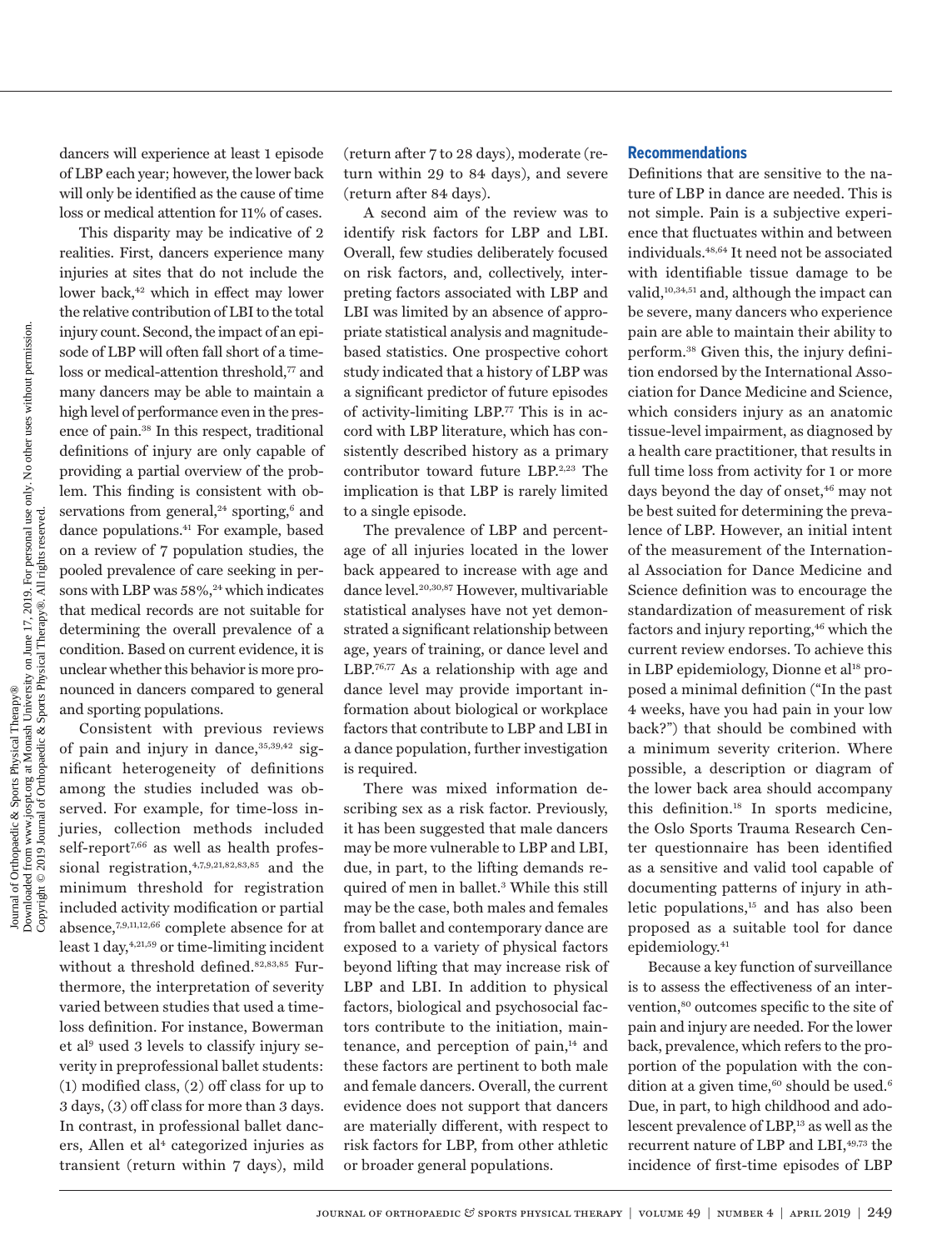dancers will experience at least 1 episode of LBP each year; however, the lower back will only be identified as the cause of time loss or medical attention for 11% of cases.

This disparity may be indicative of 2 realities. First, dancers experience many injuries at sites that do not include the lower back,<sup>42</sup> which in effect may lower the relative contribution of LBI to the total injury count. Second, the impact of an episode of LBP will often fall short of a timeloss or medical-attention threshold.<sup>77</sup> and many dancers may be able to maintain a high level of performance even in the presence of pain.38 In this respect, traditional definitions of injury are only capable of providing a partial overview of the problem. This finding is consistent with observations from general,<sup>24</sup> sporting,<sup>6</sup> and dance populations.<sup>41</sup> For example, based on a review of 7 population studies, the pooled prevalence of care seeking in persons with LBP was 58%,<sup>24</sup> which indicates that medical records are not suitable for determining the overall prevalence of a condition. Based on current evidence, it is unclear whether this behavior is more pronounced in dancers compared to general and sporting populations.

Consistent with previous reviews of pain and injury in dance,  $35,39,42$  significant heterogeneity of definitions among the studies included was observed. For example, for time-loss injuries, collection methods included self-report<sup>7,66</sup> as well as health professional registration,  $4,7,9,21,82,83,85$  and the minimum threshold for registration included activity modification or partial absence,7,9,11,12,66 complete absence for at least  $1 \, \text{day}, ^{4,21,59}$  or time-limiting incident without a threshold defined.<sup>82,83,85</sup> Furthermore, the interpretation of severity varied between studies that used a timeloss definition. For instance, Bowerman et al9 used 3 levels to classify injury severity in preprofessional ballet students: (1) modified class, (2) off class for up to 3 days, (3) off class for more than 3 days. In contrast, in professional ballet dancers, Allen et al<sup>4</sup> categorized injuries as transient (return within 7 days), mild

(return after 7 to 28 days), moderate (return within 29 to 84 days), and severe (return after 84 days).

A second aim of the review was to identify risk factors for LBP and LBI. Overall, few studies deliberately focused on risk factors, and, collectively, interpreting factors associated with LBP and LBI was limited by an absence of appropriate statistical analysis and magnitudebased statistics. One prospective cohort study indicated that a history of LBP was a significant predictor of future episodes of activity-limiting LBP.77 This is in accord with LBP literature, which has consistently described history as a primary contributor toward future LBP.<sup>2,23</sup> The implication is that LBP is rarely limited to a single episode.

The prevalence of LBP and percentage of all injuries located in the lower back appeared to increase with age and dance level.20,30,87 However, multivariable statistical analyses have not yet demonstrated a significant relationship between age, years of training, or dance level and LBP.76,77 As a relationship with age and dance level may provide important information about biological or workplace factors that contribute to LBP and LBI in a dance population, further investigation is required.

There was mixed information describing sex as a risk factor. Previously, it has been suggested that male dancers may be more vulnerable to LBP and LBI, due, in part, to the lifting demands required of men in ballet.3 While this still may be the case, both males and females from ballet and contemporary dance are exposed to a variety of physical factors beyond lifting that may increase risk of LBP and LBI. In addition to physical factors, biological and psychosocial factors contribute to the initiation, maintenance, and perception of pain,<sup>14</sup> and these factors are pertinent to both male and female dancers. Overall, the current evidence does not support that dancers are materially different, with respect to risk factors for LBP, from other athletic or broader general populations.

#### **Recommendations**

Definitions that are sensitive to the nature of LBP in dance are needed. This is not simple. Pain is a subjective experience that fluctuates within and between individuals.48,64 It need not be associated with identifiable tissue damage to be valid,<sup>10,34,51</sup> and, although the impact can be severe, many dancers who experience pain are able to maintain their ability to perform.38 Given this, the injury definition endorsed by the International Association for Dance Medicine and Science, which considers injury as an anatomic tissue-level impairment, as diagnosed by a health care practitioner, that results in full time loss from activity for 1 or more days beyond the day of onset,<sup>46</sup> may not be best suited for determining the prevalence of LBP. However, an initial intent of the measurement of the International Association for Dance Medicine and Science definition was to encourage the standardization of measurement of risk factors and injury reporting,<sup>46</sup> which the current review endorses. To achieve this in LBP epidemiology, Dionne et al<sup>18</sup> proposed a minimal definition ("In the past 4 weeks, have you had pain in your low back?") that should be combined with a minimum severity criterion. Where possible, a description or diagram of the lower back area should accompany this definition.18 In sports medicine, the Oslo Sports Trauma Research Center questionnaire has been identified as a sensitive and valid tool capable of documenting patterns of injury in athletic populations,15 and has also been proposed as a suitable tool for dance epidemiology.41

Because a key function of surveillance is to assess the effectiveness of an intervention,<sup>80</sup> outcomes specific to the site of pain and injury are needed. For the lower back, prevalence, which refers to the proportion of the population with the condition at a given time,  $60$  should be used.<sup>6</sup> Due, in part, to high childhood and adolescent prevalence of LBP,<sup>13</sup> as well as the recurrent nature of LBP and LBI,<sup>49,73</sup> the incidence of first-time episodes of LBP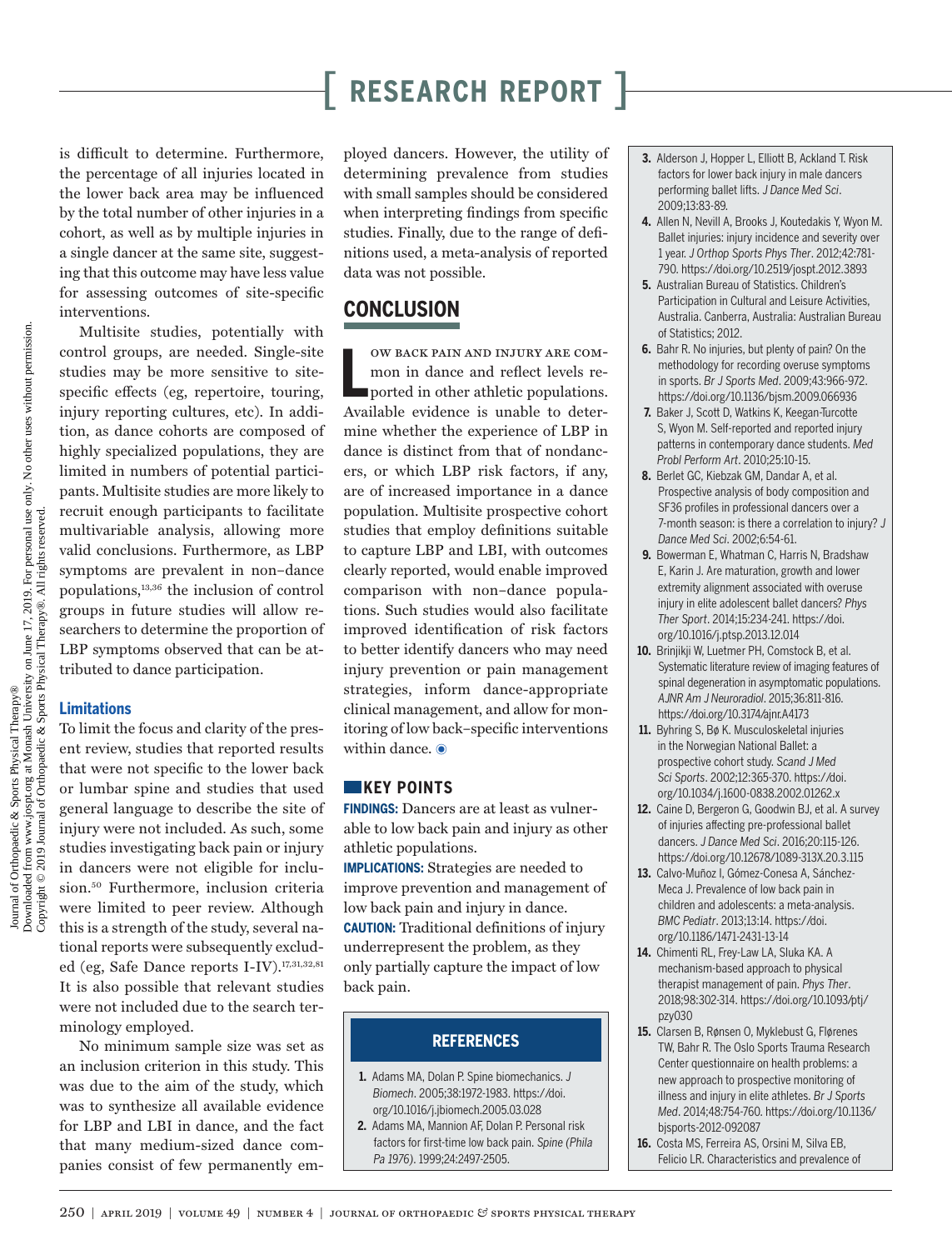is difficult to determine. Furthermore, the percentage of all injuries located in the lower back area may be influenced by the total number of other injuries in a cohort, as well as by multiple injuries in a single dancer at the same site, suggesting that this outcome may have less value for assessing outcomes of site-specific interventions.

Multisite studies, potentially with control groups, are needed. Single-site studies may be more sensitive to sitespecific effects (eg, repertoire, touring, injury reporting cultures, etc). In addition, as dance cohorts are composed of highly specialized populations, they are limited in numbers of potential participants. Multisite studies are more likely to recruit enough participants to facilitate multivariable analysis, allowing more valid conclusions. Furthermore, as LBP symptoms are prevalent in non–dance populations,13,36 the inclusion of control groups in future studies will allow researchers to determine the proportion of LBP symptoms observed that can be attributed to dance participation.

#### **Limitations**

To limit the focus and clarity of the present review, studies that reported results that were not specific to the lower back or lumbar spine and studies that used general language to describe the site of injury were not included. As such, some studies investigating back pain or injury in dancers were not eligible for inclusion.50 Furthermore, inclusion criteria were limited to peer review. Although this is a strength of the study, several national reports were subsequently excluded (eg, Safe Dance reports I-IV).<sup>17,31,32,81</sup> It is also possible that relevant studies were not included due to the search terminology employed.

No minimum sample size was set as an inclusion criterion in this study. This was due to the aim of the study, which was to synthesize all available evidence for LBP and LBI in dance, and the fact that many medium-sized dance companies consist of few permanently employed dancers. However, the utility of determining prevalence from studies with small samples should be considered when interpreting findings from specific studies. Finally, due to the range of definitions used, a meta-analysis of reported data was not possible.

### **CONCLUSION**

**L** ow back pain and injury are common in dance and reflect levels reported in other athletic populations. Available evidence is unable to determine whether the experience of LBP in dance is distinct from that of nondancers, or which LBP risk factors, if any, are of increased importance in a dance population. Multisite prospective cohort studies that employ definitions suitable to capture LBP and LBI, with outcomes clearly reported, would enable improved comparison with non–dance populations. Such studies would also facilitate improved identification of risk factors to better identify dancers who may need injury prevention or pain management strategies, inform dance-appropriate clinical management, and allow for monitoring of low back–specific interventions within dance.  $\odot$ 

#### **KEY POINTS**

**FINDINGS:** Dancers are at least as vulnerable to low back pain and injury as other athletic populations.

**IMPLICATIONS:** Strategies are needed to improve prevention and management of low back pain and injury in dance. **CAUTION:** Traditional definitions of injury underrepresent the problem, as they only partially capture the impact of low back pain.

### **REFERENCES**

- **1.** Adams MA, Dolan P. Spine biomechanics. *J Biomech*. 2005;38:1972-1983. [https://doi.](https://doi.org/10.1016/j.jbiomech.2005.03.028) [org/10.1016/j.jbiomech.2005.03.028](https://doi.org/10.1016/j.jbiomech.2005.03.028)
- **2.** Adams MA, Mannion AF, Dolan P. Personal risk factors for first-time low back pain. *Spine (Phila Pa 1976)*. 1999;24:2497-2505.
- **3.** Alderson J, Hopper L, Elliott B, Ackland T. Risk factors for lower back injury in male dancers performing ballet lifts. *J Dance Med Sci*. 2009;13:83-89.
- **4.** Allen N, Nevill A, Brooks J, Koutedakis Y, Wyon M. Ballet injuries: injury incidence and severity over 1 year. *J Orthop Sports Phys Ther*. 2012;42:781- 790.<https://doi.org/10.2519/jospt.2012.3893>
- **5.** Australian Bureau of Statistics. Children's Participation in Cultural and Leisure Activities, Australia. Canberra, Australia: Australian Bureau of Statistics; 2012.
- **6.** Bahr R. No injuries, but plenty of pain? On the methodology for recording overuse symptoms in sports. *Br J Sports Med*. 2009;43:966-972. <https://doi.org/10.1136/bjsm.2009.066936>
- **7.** Baker J, Scott D, Watkins K, Keegan-Turcotte S, Wyon M. Self-reported and reported injury patterns in contemporary dance students. *Med Probl Perform Art*. 2010;25:10-15.
- **8.** Berlet GC, Kiebzak GM, Dandar A, et al. Prospective analysis of body composition and SF36 profiles in professional dancers over a 7-month season: is there a correlation to injury? *J Dance Med Sci*. 2002;6:54-61.
- **9.** Bowerman E, Whatman C, Harris N, Bradshaw E, Karin J. Are maturation, growth and lower extremity alignment associated with overuse injury in elite adolescent ballet dancers? *Phys Ther Sport*. 2014;15:234-241. [https://doi.](https://doi.org/10.1016/j.ptsp.2013.12.014) [org/10.1016/j.ptsp.2013.12.014](https://doi.org/10.1016/j.ptsp.2013.12.014)
- **10.** Brinjikji W, Luetmer PH, Comstock B, et al. Systematic literature review of imaging features of spinal degeneration in asymptomatic populations. *AJNR Am J Neuroradiol*. 2015;36:811-816. <https://doi.org/10.3174/ajnr.A4173>
- **11.** Byhring S, Bø K. Musculoskeletal injuries in the Norwegian National Ballet: a prospective cohort study. *Scand J Med Sci Sports*. 2002;12:365-370. [https://doi.](https://doi.org/10.1034/j.1600-0838.2002.01262.x) [org/10.1034/j.1600-0838.2002.01262.x](https://doi.org/10.1034/j.1600-0838.2002.01262.x)
- **12.** Caine D, Bergeron G, Goodwin BJ, et al. A survey of injuries affecting pre-professional ballet dancers. *J Dance Med Sci*. 2016;20:115-126. <https://doi.org/10.12678/1089-313X.20.3.115>
- **13.** Calvo-Muñoz I, Gómez-Conesa A, Sánchez-Meca J. Prevalence of low back pain in children and adolescents: a meta-analysis. *BMC Pediatr*. 2013;13:14. [https://doi.](https://doi.org/10.1186/1471-2431-13-14) [org/10.1186/1471-2431-13-14](https://doi.org/10.1186/1471-2431-13-14)
- **14.** Chimenti RL, Frey-Law LA, Sluka KA. A mechanism-based approach to physical therapist management of pain. *Phys Ther*. 2018;98:302-314. [https://doi.org/10.1093/ptj/](https://doi.org/10.1093/ptj/pzy030) [pzy030](https://doi.org/10.1093/ptj/pzy030)
- **15.** Clarsen B, Rønsen O, Myklebust G, Flørenes TW, Bahr R. The Oslo Sports Trauma Research Center questionnaire on health problems: a new approach to prospective monitoring of illness and injury in elite athletes. *Br J Sports Med*. 2014;48:754-760. [https://doi.org/10.1136/](https://doi.org/10.1136/bjsports-2012-092087) [bjsports-2012-092087](https://doi.org/10.1136/bjsports-2012-092087)
- **16.** Costa MS, Ferreira AS, Orsini M, Silva EB, Felicio LR. Characteristics and prevalence of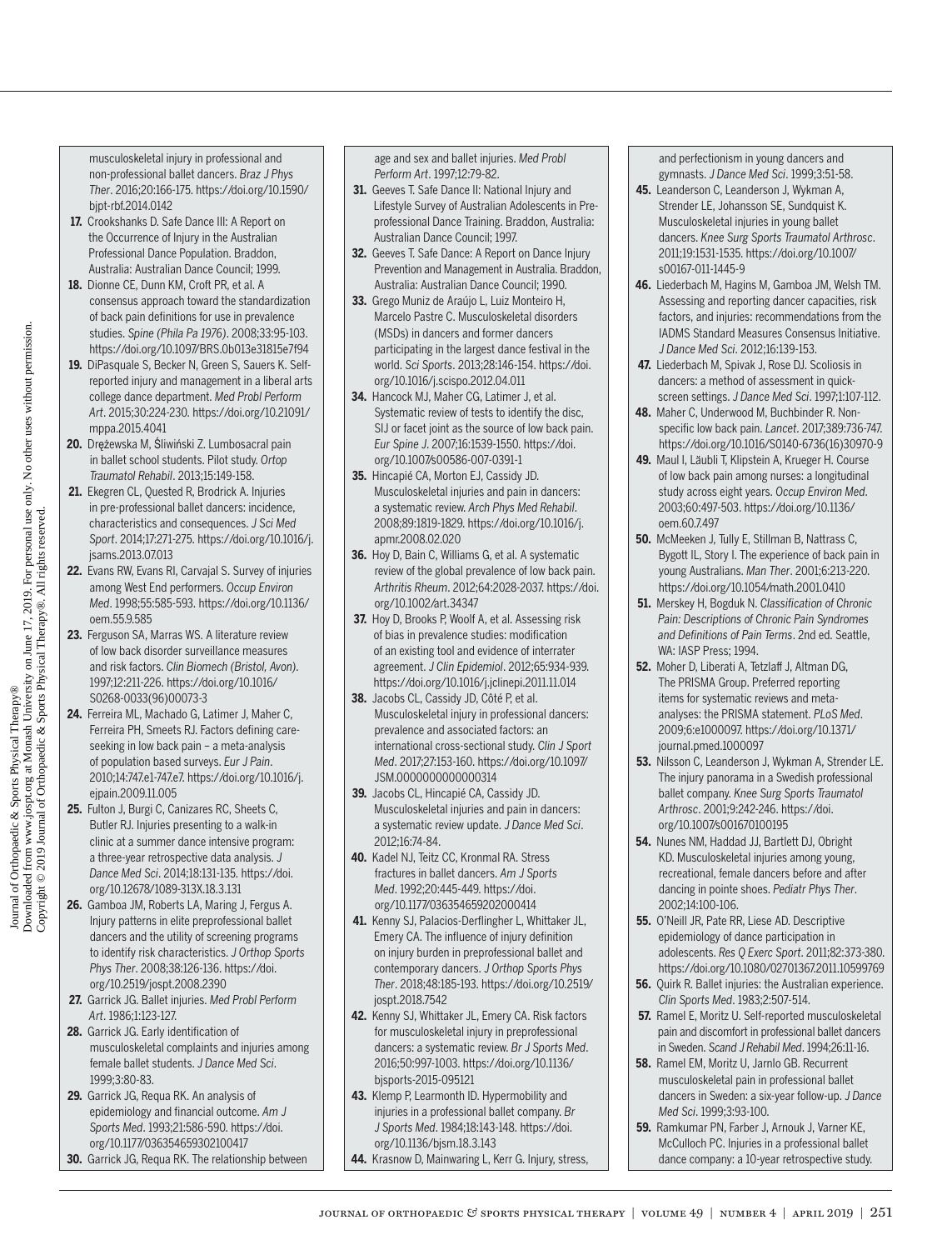musculoskeletal injury in professional and non-professional ballet dancers. *Braz J Phys Ther*. 2016;20:166-175. [https://doi.org/10.1590/](https://doi.org/10.1590/bjpt-rbf.2014.0142) [bjpt-rbf.2014.0142](https://doi.org/10.1590/bjpt-rbf.2014.0142)

- **17.** Crookshanks D. Safe Dance III: A Report on the Occurrence of Injury in the Australian Professional Dance Population. Braddon, Australia: Australian Dance Council; 1999.
- **18.** Dionne CE, Dunn KM, Croft PR, et al. A consensus approach toward the standardization of back pain definitions for use in prevalence studies. *Spine (Phila Pa 1976)*. 2008;33:95-103. <https://doi.org/10.1097/BRS.0b013e31815e7f94>
- **19.** DiPasquale S, Becker N, Green S, Sauers K. Selfreported injury and management in a liberal arts college dance department. *Med Probl Perform Art*. 2015;30:224-230. [https://doi.org/10.21091/](https://doi.org/10.21091/mppa.2015.4041) [mppa.2015.4041](https://doi.org/10.21091/mppa.2015.4041)
- **20.** Drężewska M, Śliwiński Z. Lumbosacral pain in ballet school students. Pilot study. *Ortop Traumatol Rehabil*. 2013;15:149-158.
- **21.** Ekegren CL, Quested R, Brodrick A. Injuries in pre-professional ballet dancers: incidence, characteristics and consequences. *J Sci Med Sport*. 2014;17:271-275. [https://doi.org/10.1016/j.](https://doi.org/10.1016/j.jsams.2013.07.013) [jsams.2013.07.013](https://doi.org/10.1016/j.jsams.2013.07.013)
- **22.** Evans RW, Evans RI, Carvajal S. Survey of injuries among West End performers. *Occup Environ Med*. 1998;55:585-593. [https://doi.org/10.1136/](https://doi.org/10.1136/oem.55.9.585) [oem.55.9.585](https://doi.org/10.1136/oem.55.9.585)
- **23.** Ferguson SA, Marras WS. A literature review of low back disorder surveillance measures and risk factors. *Clin Biomech (Bristol, Avon)*. 1997;12:211-226. [https://doi.org/10.1016/](https://doi.org/10.1016/S0268-0033(96)00073-3) [S0268-0033\(96\)00073-3](https://doi.org/10.1016/S0268-0033(96)00073-3)
- **24.** Ferreira ML, Machado G, Latimer J, Maher C, Ferreira PH, Smeets RJ. Factors defining careseeking in low back pain – a meta-analysis of population based surveys. *Eur J Pain*. 2010;14:747.e1-747.e7. [https://doi.org/10.1016/j.](https://doi.org/10.1016/j.ejpain.2009.11.005) [ejpain.2009.11.005](https://doi.org/10.1016/j.ejpain.2009.11.005)
- **25.** Fulton J, Burgi C, Canizares RC, Sheets C, Butler RJ. Injuries presenting to a walk-in clinic at a summer dance intensive program: a three-year retrospective data analysis. *J Dance Med Sci*. 2014;18:131-135. [https://doi.](https://doi.org/10.12678/1089-313X.18.3.131) [org/10.12678/1089-313X.18.3.131](https://doi.org/10.12678/1089-313X.18.3.131)
- **26.** Gamboa JM, Roberts LA, Maring J, Fergus A. Injury patterns in elite preprofessional ballet dancers and the utility of screening programs to identify risk characteristics. *J Orthop Sports Phys Ther*. 2008;38:126-136. [https://doi.](https://doi.org/10.2519/jospt.2008.2390) [org/10.2519/jospt.2008.2390](https://doi.org/10.2519/jospt.2008.2390)
- **27.** Garrick JG. Ballet injuries. *Med Probl Perform Art*. 1986;1:123-127.
- **28.** Garrick JG. Early identification of musculoskeletal complaints and injuries among female ballet students. *J Dance Med Sci*. 1999;3:80-83.
- **29.** Garrick JG, Requa RK. An analysis of epidemiology and financial outcome. *Am J Sports Med*. 1993;21:586-590. [https://doi.](https://doi.org/10.1177/036354659302100417) [org/10.1177/036354659302100417](https://doi.org/10.1177/036354659302100417)
- **30.** Garrick JG, Requa RK. The relationship between

age and sex and ballet injuries. *Med Probl Perform Art*. 1997;12:79-82.

- **31.** Geeves T. Safe Dance II: National Injury and Lifestyle Survey of Australian Adolescents in Preprofessional Dance Training. Braddon, Australia: Australian Dance Council; 1997.
- **32.** Geeves T. Safe Dance: A Report on Dance Injury Prevention and Management in Australia. Braddon, Australia: Australian Dance Council; 1990.
- **33.** Grego Muniz de Araújo L, Luiz Monteiro H, Marcelo Pastre C. Musculoskeletal disorders (MSDs) in dancers and former dancers participating in the largest dance festival in the world. *Sci Sports*. 2013;28:146-154. [https://doi.](https://doi.org/10.1016/j.scispo.2012.04.011) [org/10.1016/j.scispo.2012.04.011](https://doi.org/10.1016/j.scispo.2012.04.011)
- **34.** Hancock MJ, Maher CG, Latimer J, et al. Systematic review of tests to identify the disc, SIJ or facet joint as the source of low back pain. *Eur Spine J*. 2007;16:1539-1550. [https://doi.](https://doi.org/10.1007/s00586-007-0391-1) [org/10.1007/s00586-007-0391-1](https://doi.org/10.1007/s00586-007-0391-1)
- **35.** Hincapié CA, Morton EJ, Cassidy JD. Musculoskeletal injuries and pain in dancers: a systematic review. *Arch Phys Med Rehabil*. 2008;89:1819-1829. [https://doi.org/10.1016/j.](https://doi.org/10.1016/j.apmr.2008.02.020) [apmr.2008.02.020](https://doi.org/10.1016/j.apmr.2008.02.020)
- **36.** Hoy D, Bain C, Williams G, et al. A systematic review of the global prevalence of low back pain. *Arthritis Rheum*. 2012;64:2028-2037. [https://doi.](https://doi.org/10.1002/art.34347) [org/10.1002/art.34347](https://doi.org/10.1002/art.34347)
- **37.** Hoy D, Brooks P, Woolf A, et al. Assessing risk of bias in prevalence studies: modification of an existing tool and evidence of interrater agreement. *J Clin Epidemiol*. 2012;65:934-939. <https://doi.org/10.1016/j.jclinepi.2011.11.014>
- **38.** Jacobs CL, Cassidy JD, Côté P, et al. Musculoskeletal injury in professional dancers: prevalence and associated factors: an international cross-sectional study. *Clin J Sport Med*. 2017;27:153-160. [https://doi.org/10.1097/](https://doi.org/10.1097/JSM.0000000000000314) [JSM.0000000000000314](https://doi.org/10.1097/JSM.0000000000000314)
- **39.** Jacobs CL, Hincapié CA, Cassidy JD. Musculoskeletal injuries and pain in dancers: a systematic review update. *J Dance Med Sci*. 2012;16:74-84.
- **40.** Kadel NJ, Teitz CC, Kronmal RA. Stress fractures in ballet dancers. *Am J Sports Med*. 1992;20:445-449. [https://doi.](https://doi.org/10.1177/036354659202000414) [org/10.1177/036354659202000414](https://doi.org/10.1177/036354659202000414)
- **41.** Kenny SJ, Palacios-Derflingher L, Whittaker JL, Emery CA. The influence of injury definition on injury burden in preprofessional ballet and contemporary dancers. *J Orthop Sports Phys Ther*. 2018;48:185-193. [https://doi.org/10.2519/](https://doi.org/10.2519/jospt.2018.7542) [jospt.2018.7542](https://doi.org/10.2519/jospt.2018.7542)
- **42.** Kenny SJ, Whittaker JL, Emery CA. Risk factors for musculoskeletal injury in preprofessional dancers: a systematic review. *Br J Sports Med*. 2016;50:997-1003. [https://doi.org/10.1136/](https://doi.org/10.1136/bjsports-2015-095121) [bjsports-2015-095121](https://doi.org/10.1136/bjsports-2015-095121)
- **43.** Klemp P, Learmonth ID. Hypermobility and injuries in a professional ballet company. *Br J Sports Med*. 1984;18:143-148. [https://doi.](https://doi.org/10.1136/bjsm.18.3.143) [org/10.1136/bjsm.18.3.143](https://doi.org/10.1136/bjsm.18.3.143)
- **44.** Krasnow D, Mainwaring L, Kerr G. Injury, stress,

and perfectionism in young dancers and gymnasts. *J Dance Med Sci*. 1999;3:51-58.

- **45.** Leanderson C, Leanderson J, Wykman A, Strender LE, Johansson SE, Sundquist K. Musculoskeletal injuries in young ballet dancers. *Knee Surg Sports Traumatol Arthrosc*. 2011;19:1531-1535. [https://doi.org/10.1007/](https://doi.org/10.1007/s00167-011-1445-9) [s00167-011-1445-9](https://doi.org/10.1007/s00167-011-1445-9)
- **46.** Liederbach M, Hagins M, Gamboa JM, Welsh TM. Assessing and reporting dancer capacities, risk factors, and injuries: recommendations from the IADMS Standard Measures Consensus Initiative. *J Dance Med Sci*. 2012;16:139-153.
- **47.** Liederbach M, Spivak J, Rose DJ. Scoliosis in dancers: a method of assessment in quickscreen settings. *J Dance Med Sci*. 1997;1:107-112.
- **48.** Maher C, Underwood M, Buchbinder R. Nonspecific low back pain. *Lancet*. 2017;389:736-747. [https://doi.org/10.1016/S0140-6736\(16\)30970-9](https://doi.org/10.1016/S0140-6736(16)30970-9)
- **49.** Maul I, Läubli T, Klipstein A, Krueger H. Course of low back pain among nurses: a longitudinal study across eight years. *Occup Environ Med*. 2003;60:497-503. [https://doi.org/10.1136/](https://doi.org/10.1136/oem.60.7.497) [oem.60.7.497](https://doi.org/10.1136/oem.60.7.497)
- **50.** McMeeken J, Tully E, Stillman B, Nattrass C, Bygott IL, Story I. The experience of back pain in young Australians. *Man Ther*. 2001;6:213-220. <https://doi.org/10.1054/math.2001.0410>
- **51.** Merskey H, Bogduk N. *Classification of Chronic Pain: Descriptions of Chronic Pain Syndromes and Definitions of Pain Terms*. 2nd ed. Seattle, WA: IASP Press: 1994.
- **52.** Moher D, Liberati A, Tetzlaff J, Altman DG, The PRISMA Group. Preferred reporting items for systematic reviews and metaanalyses: the PRISMA statement. *PLoS Med*. 2009;6:e1000097. [https://doi.org/10.1371/](https://doi.org/10.1371/journal.pmed.1000097) [journal.pmed.1000097](https://doi.org/10.1371/journal.pmed.1000097)
- **53.** Nilsson C, Leanderson J, Wykman A, Strender LE. The injury panorama in a Swedish professional ballet company. *Knee Surg Sports Traumatol Arthrosc*. 2001;9:242-246. [https://doi.](https://doi.org/10.1007/s001670100195) [org/10.1007/s001670100195](https://doi.org/10.1007/s001670100195)
- **54.** Nunes NM, Haddad JJ, Bartlett DJ, Obright KD. Musculoskeletal injuries among young, recreational, female dancers before and after dancing in pointe shoes. *Pediatr Phys Ther*. 2002;14:100-106.
- **55.** O'Neill JR, Pate RR, Liese AD. Descriptive epidemiology of dance participation in adolescents. *Res Q Exerc Sport*. 2011;82:373-380. <https://doi.org/10.1080/02701367.2011.10599769>
- **56.** Quirk R. Ballet injuries: the Australian experience. *Clin Sports Med*. 1983;2:507-514.
- **57.** Ramel E, Moritz U. Self-reported musculoskeletal pain and discomfort in professional ballet dancers in Sweden. *Scand J Rehabil Med*. 1994;26:11-16.
- **58.** Ramel EM, Moritz U, Jarnlo GB. Recurrent musculoskeletal pain in professional ballet dancers in Sweden: a six-year follow-up. *J Dance Med Sci*. 1999;3:93-100.
- **59.** Ramkumar PN, Farber J, Arnouk J, Varner KE, McCulloch PC. Injuries in a professional ballet dance company: a 10-year retrospective study.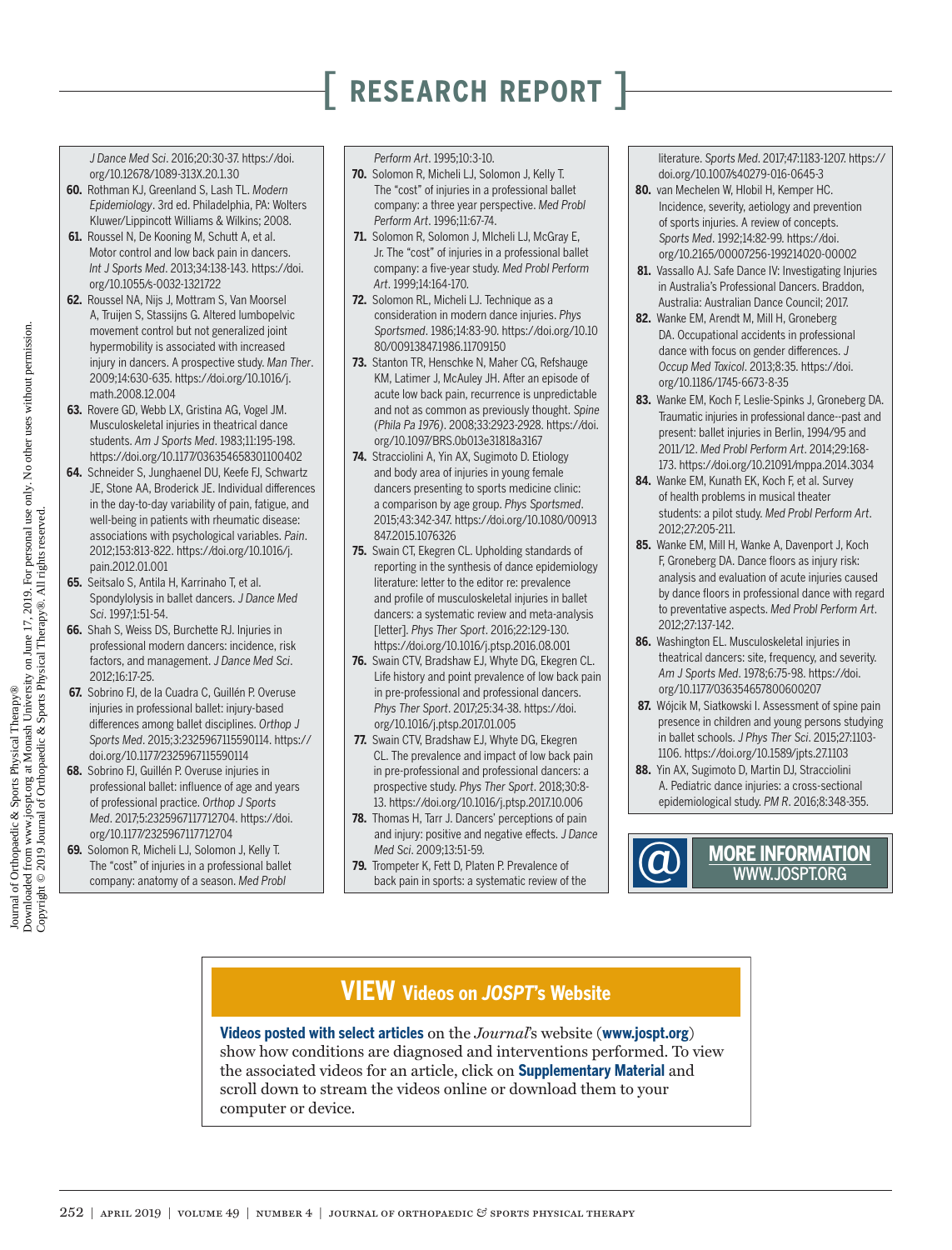*J Dance Med Sci*. 2016;20:30-37. [https://doi.](https://doi.org/10.12678/1089-313X.20.1.30) [org/10.12678/1089-313X.20.1.30](https://doi.org/10.12678/1089-313X.20.1.30)

- **60.** Rothman KJ, Greenland S, Lash TL. *Modern Epidemiology*. 3rd ed. Philadelphia, PA: Wolters Kluwer/Lippincott Williams & Wilkins; 2008.
- **61.** Roussel N, De Kooning M, Schutt A, et al. Motor control and low back pain in dancers. *Int J Sports Med*. 2013;34:138-143. [https://doi.](https://doi.org/10.1055/s-0032-1321722) [org/10.1055/s-0032-1321722](https://doi.org/10.1055/s-0032-1321722)
- **62.** Roussel NA, Nijs J, Mottram S, Van Moorsel A, Truijen S, Stassijns G. Altered lumbopelvic movement control but not generalized joint hypermobility is associated with increased injury in dancers. A prospective study. *Man Ther*. 2009;14:630-635. [https://doi.org/10.1016/j.](https://doi.org/10.1016/j.math.2008.12.004) [math.2008.12.004](https://doi.org/10.1016/j.math.2008.12.004)
- **63.** Rovere GD, Webb LX, Gristina AG, Vogel JM. Musculoskeletal injuries in theatrical dance students. *Am J Sports Med*. 1983;11:195-198. <https://doi.org/10.1177/036354658301100402>
- **64.** Schneider S, Junghaenel DU, Keefe FJ, Schwartz JE, Stone AA, Broderick JE. Individual differences in the day-to-day variability of pain, fatigue, and well-being in patients with rheumatic disease: associations with psychological variables. *Pain*. 2012;153:813-822. [https://doi.org/10.1016/j.](https://doi.org/10.1016/j.pain.2012.01.001) [pain.2012.01.001](https://doi.org/10.1016/j.pain.2012.01.001)
- **65.** Seitsalo S, Antila H, Karrinaho T, et al. Spondylolysis in ballet dancers. *J Dance Med Sci*. 1997;1:51-54.
- **66.** Shah S, Weiss DS, Burchette RJ. Injuries in professional modern dancers: incidence, risk factors, and management. *J Dance Med Sci*. 2012;16:17-25.
- **67.** Sobrino FJ, de la Cuadra C, Guillén P. Overuse injuries in professional ballet: injury-based differences among ballet disciplines. *Orthop J Sports Med*. 2015;3:2325967115590114. [https://](https://doi.org/10.1177/2325967115590114) [doi.org/10.1177/2325967115590114](https://doi.org/10.1177/2325967115590114)
- **68.** Sobrino FJ, Guillén P. Overuse injuries in professional ballet: influence of age and years of professional practice. *Orthop J Sports Med*. 2017;5:2325967117712704. [https://doi.](https://doi.org/10.1177/2325967117712704) [org/10.1177/2325967117712704](https://doi.org/10.1177/2325967117712704)
- **69.** Solomon R, Micheli LJ, Solomon J, Kelly T. The "cost" of injuries in a professional ballet company: anatomy of a season. *Med Probl*

#### *Perform Art*. 1995;10:3-10.

- **70.** Solomon R, Micheli LJ, Solomon J, Kelly T. The "cost" of injuries in a professional ballet company: a three year perspective. *Med Probl Perform Art*. 1996;11:67-74.
- **71.** Solomon R, Solomon J, MIcheli LJ, McGray E, Jr. The "cost" of injuries in a professional ballet company: a five-year study. *Med Probl Perform Art*. 1999;14:164-170.
- **72.** Solomon RL, Micheli LJ. Technique as a consideration in modern dance injuries. *Phys Sportsmed*. 1986;14:83-90. [https://doi.org/10.10](https://doi.org/10.1080/00913847.1986.11709150) [80/00913847.1986.11709150](https://doi.org/10.1080/00913847.1986.11709150)
- **73.** Stanton TR, Henschke N, Maher CG, Refshauge KM, Latimer J, McAuley JH. After an episode of acute low back pain, recurrence is unpredictable and not as common as previously thought. *Spine (Phila Pa 1976)*. 2008;33:2923-2928. [https://doi.](https://doi.org/10.1097/BRS.0b013e31818a3167) [org/10.1097/BRS.0b013e31818a3167](https://doi.org/10.1097/BRS.0b013e31818a3167)
- **74.** Stracciolini A, Yin AX, Sugimoto D. Etiology and body area of injuries in young female dancers presenting to sports medicine clinic: a comparison by age group. *Phys Sportsmed*. 2015;43:342-347. [https://doi.org/10.1080/00913](https://doi.org/10.1080/00913847.2015.1076326) [847.2015.1076326](https://doi.org/10.1080/00913847.2015.1076326)
- **75.** Swain CT, Ekegren CL. Upholding standards of reporting in the synthesis of dance epidemiology literature: letter to the editor re: prevalence and profile of musculoskeletal injuries in ballet dancers: a systematic review and meta-analysis [letter]. *Phys Ther Sport*. 2016;22:129-130. <https://doi.org/10.1016/j.ptsp.2016.08.001>
- **76.** Swain CTV, Bradshaw EJ, Whyte DG, Ekegren CL. Life history and point prevalence of low back pain in pre-professional and professional dancers. *Phys Ther Sport*. 2017;25:34-38. [https://doi.](https://doi.org/10.1016/j.ptsp.2017.01.005) [org/10.1016/j.ptsp.2017.01.005](https://doi.org/10.1016/j.ptsp.2017.01.005)
- **77.** Swain CTV, Bradshaw EJ, Whyte DG, Ekegren CL. The prevalence and impact of low back pain in pre-professional and professional dancers: a prospective study. *Phys Ther Sport*. 2018;30:8- 13. <https://doi.org/10.1016/j.ptsp.2017.10.006>
- **78.** Thomas H, Tarr J. Dancers' perceptions of pain and injury: positive and negative effects. *J Dance Med Sci*. 2009;13:51-59.
- **79.** Trompeter K, Fett D, Platen P. Prevalence of back pain in sports: a systematic review of the

literature. *Sports Med*. 2017;47:1183-1207. [https://](https://doi.org/10.1007/s40279-016-0645-3) [doi.org/10.1007/s40279-016-0645-3](https://doi.org/10.1007/s40279-016-0645-3)

- **80.** van Mechelen W, Hlobil H, Kemper HC. Incidence, severity, aetiology and prevention of sports injuries. A review of concepts. *Sports Med*. 1992;14:82-99. [https://doi.](https://doi.org/10.2165/00007256-199214020-00002) [org/10.2165/00007256-199214020-00002](https://doi.org/10.2165/00007256-199214020-00002)
- 81. Vassallo AJ. Safe Dance IV: Investigating Injuries in Australia's Professional Dancers. Braddon, Australia: Australian Dance Council; 2017.
- **82.** Wanke EM, Arendt M, Mill H, Groneberg DA. Occupational accidents in professional dance with focus on gender differences. *J Occup Med Toxicol*. 2013;8:35. [https://doi.](https://doi.org/10.1186/1745-6673-8-35) [org/10.1186/1745-6673-8-35](https://doi.org/10.1186/1745-6673-8-35)
- **83.** Wanke EM, Koch F, Leslie-Spinks J, Groneberg DA. Traumatic injuries in professional dance--past and present: ballet injuries in Berlin, 1994/95 and 2011/12. *Med Probl Perform Art*. 2014;29:168- 173.<https://doi.org/10.21091/mppa.2014.3034>
- **84.** Wanke EM, Kunath EK, Koch F, et al. Survey of health problems in musical theater students: a pilot study. *Med Probl Perform Art*. 2012;27:205-211.
- **85.** Wanke EM, Mill H, Wanke A, Davenport J, Koch F, Groneberg DA. Dance floors as injury risk: analysis and evaluation of acute injuries caused by dance floors in professional dance with regard to preventative aspects. *Med Probl Perform Art*. 2012;27:137-142.
- **86.** Washington EL. Musculoskeletal injuries in theatrical dancers: site, frequency, and severity. *Am J Sports Med*. 1978;6:75-98. [https://doi.](https://doi.org/10.1177/036354657800600207) [org/10.1177/036354657800600207](https://doi.org/10.1177/036354657800600207)
- **87.** Wójcik M, Siatkowski I. Assessment of spine pain presence in children and young persons studying in ballet schools. *J Phys Ther Sci*. 2015;27:1103- 1106.<https://doi.org/10.1589/jpts.27.1103>
- **88.** Yin AX, Sugimoto D, Martin DJ, Stracciolini A. Pediatric dance injuries: a cross-sectional epidemiological study. *PM R*. 2016;8:348-355.



## **MORE INFORMATION** @ [WWW.JOSPT.ORG](http://www.jospt.org)

### **VIEW Videos on** *JOSPT***'s Website**

**Videos posted with select articles** on the *Journal*'s website (**www.jospt.org**) show how conditions are diagnosed and interventions performed. To view the associated videos for an article, click on **Supplementary Material** and scroll down to stream the videos online or download them to your computer or device.